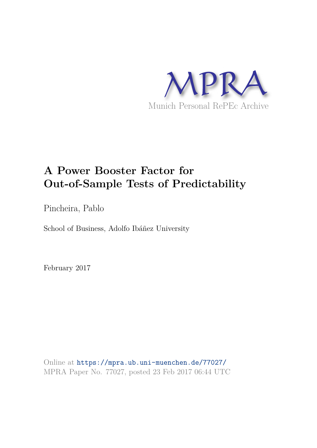

# **A Power Booster Factor for Out-of-Sample Tests of Predictability**

Pincheira, Pablo

School of Business, Adolfo Ibáñez University

February 2017

Online at https://mpra.ub.uni-muenchen.de/77027/ MPRA Paper No. 77027, posted 23 Feb 2017 06:44 UTC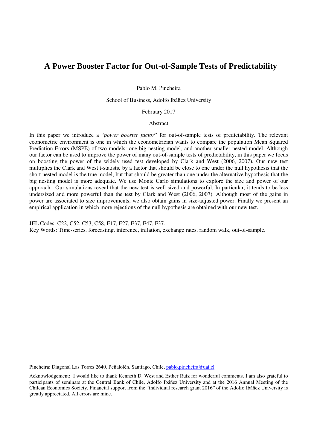# **A Power Booster Factor for Out-of-Sample Tests of Predictability**

Pablo M. Pincheira

School of Business, Adolfo Ibáñez University

February 2017

#### Abstract

In this paper we introduce a "*power booster factor*" for out-of-sample tests of predictability. The relevant econometric environment is one in which the econometrician wants to compare the population Mean Squared Prediction Errors (MSPE) of two models: one big nesting model, and another smaller nested model. Although our factor can be used to improve the power of many out-of-sample tests of predictability, in this paper we focus on boosting the power of the widely used test developed by Clark and West (2006, 2007). Our new test multiplies the Clark and West t-statistic by a factor that should be close to one under the null hypothesis that the short nested model is the true model, but that should be greater than one under the alternative hypothesis that the big nesting model is more adequate. We use Monte Carlo simulations to explore the size and power of our approach. Our simulations reveal that the new test is well sized and powerful. In particular, it tends to be less undersized and more powerful than the test by Clark and West (2006, 2007). Although most of the gains in power are associated to size improvements, we also obtain gains in size-adjusted power. Finally we present an empirical application in which more rejections of the null hypothesis are obtained with our new test.

JEL Codes: C22, C52, C53, C58, E17, E27, E37, E47, F37.

Key Words: Time-series, forecasting, inference, inflation, exchange rates, random walk, out-of-sample.

Pincheira: Diagonal Las Torres 2640, Peñalolén, Santiago, Chile, pablo.pincheira@uai.cl.

Acknowlodgement: I would like to thank Kenneth D. West and Esther Ruiz for wonderful comments. I am also grateful to participants of seminars at the Central Bank of Chile, Adolfo Ibáñez University and at the 2016 Annual Meeting of the Chilean Economics Society. Financial support from the "individual research grant 2016" of the Adolfo Ibáñez University is greatly appreciated. All errors are mine.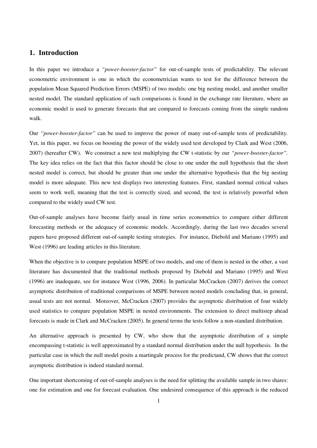# **1. Introduction**

In this paper we introduce a *"power-booster-factor"* for out-of-sample tests of predictability. The relevant econometric environment is one in which the econometrician wants to test for the difference between the population Mean Squared Prediction Errors (MSPE) of two models: one big nesting model, and another smaller nested model. The standard application of such comparisons is found in the exchange rate literature, where an economic model is used to generate forecasts that are compared to forecasts coming from the simple random walk.

Our *"power-booster-factor"* can be used to improve the power of many out-of-sample tests of predictability. Yet, in this paper, we focus on boosting the power of the widely used test developed by Clark and West (2006, 2007) (hereafter CW). We construct a new test multiplying the CW t-statistic by our *"power-booster-factor".*  The key idea relies on the fact that this factor should be close to one under the null hypothesis that the short nested model is correct, but should be greater than one under the alternative hypothesis that the big nesting model is more adequate. This new test displays two interesting features. First, standard normal critical values seem to work well, meaning that the test is correctly sized, and second, the test is relatively powerful when compared to the widely used CW test.

Out-of-sample analyses have become fairly usual in time series econometrics to compare either different forecasting methods or the adequacy of economic models. Accordingly, during the last two decades several papers have proposed different out-of-sample testing strategies. For instance, Diebold and Mariano (1995) and West (1996) are leading articles in this literature.

When the objective is to compare population MSPE of two models, and one of them is nested in the other, a vast literature has documented that the traditional methods proposed by Diebold and Mariano (1995) and West (1996) are inadequate, see for instance West (1996, 2006). In particular McCracken (2007) derives the correct asymptotic distribution of traditional comparisons of MSPE between nested models concluding that, in general, usual tests are not normal. Moreover, McCracken (2007) provides the asymptotic distribution of four widely used statistics to compare population MSPE in nested environments. The extension to direct multistep ahead forecasts is made in Clark and McCracken (2005). In general terms the tests follow a non-standard distribution.

An alternative approach is presented by CW, who show that the asymptotic distribution of a simple encompassing t-statistic is well approximated by a standard normal distribution under the null hypothesis. In the particular case in which the null model posits a martingale process for the predictand, CW shows that the correct asymptotic distribution is indeed standard normal.

One important shortcoming of out-of-sample analyses is the need for splitting the available sample in two shares: one for estimation and one for forecast evaluation. One undesired consequence of this approach is the reduced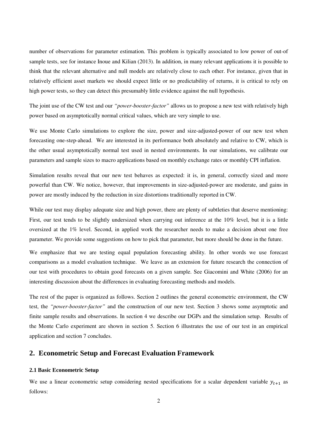number of observations for parameter estimation. This problem is typically associated to low power of out-of sample tests, see for instance Inoue and Kilian (2013). In addition, in many relevant applications it is possible to think that the relevant alternative and null models are relatively close to each other. For instance, given that in relatively efficient asset markets we should expect little or no predictability of returns, it is critical to rely on high power tests, so they can detect this presumably little evidence against the null hypothesis.

The joint use of the CW test and our *"power-booster-factor"* allows us to propose a new test with relatively high power based on asymptotically normal critical values, which are very simple to use.

We use Monte Carlo simulations to explore the size, power and size-adjusted-power of our new test when forecasting one-step-ahead. We are interested in its performance both absolutely and relative to CW, which is the other usual asymptotically normal test used in nested environments. In our simulations, we calibrate our parameters and sample sizes to macro applications based on monthly exchange rates or monthly CPI inflation.

Simulation results reveal that our new test behaves as expected: it is, in general, correctly sized and more powerful than CW. We notice, however, that improvements in size-adjusted-power are moderate, and gains in power are mostly induced by the reduction in size distortions traditionally reported in CW.

While our test may display adequate size and high power, there are plenty of subtleties that deserve mentioning: First, our test tends to be slightly undersized when carrying out inference at the 10% level, but it is a little oversized at the 1% level. Second, in applied work the researcher needs to make a decision about one free parameter. We provide some suggestions on how to pick that parameter, but more should be done in the future.

We emphasize that we are testing equal population forecasting ability. In other words we use forecast comparisons as a model evaluation technique. We leave as an extension for future research the connection of our test with procedures to obtain good forecasts on a given sample. See Giacomini and White (2006) for an interesting discussion about the differences in evaluating forecasting methods and models.

The rest of the paper is organized as follows. Section 2 outlines the general econometric environment, the CW test, the *"power-booster-factor"* and the construction of our new test. Section 3 shows some asymptotic and finite sample results and observations. In section 4 we describe our DGPs and the simulation setup. Results of the Monte Carlo experiment are shown in section 5. Section 6 illustrates the use of our test in an empirical application and section 7 concludes.

# **2. Econometric Setup and Forecast Evaluation Framework**

#### **2.1 Basic Econometric Setup**

We use a linear econometric setup considering nested specifications for a scalar dependent variable  $y_{t+1}$  as follows: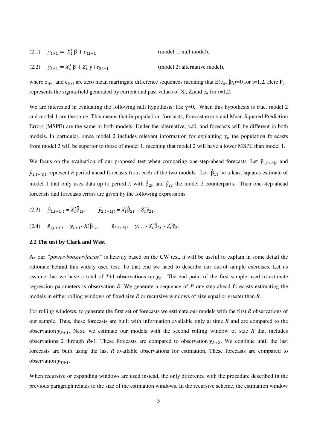| (2.1) $y_{t+1} = X_t' \beta + e_{1t+1}$ | (model 1: null model), |
|-----------------------------------------|------------------------|
|-----------------------------------------|------------------------|

(2.2)  $y_{t+1} = X_t' \beta + Z_t' \gamma + e_{2t}$ (model 2: alternative model),

where  $e_{1t+1}$  and  $e_{2t+1}$  are zero mean martingale difference sequences meaning that  $E(e_{it+1}|F_t)=0$  for i=1,2. Here  $F_t$ represents the sigma-field generated by current and past values of  $X_t$ ,  $Z_t$  and  $e_{it}$  for i=1,2.

We are interested in evaluating the following null hypothesis:  $H_0$ :  $\gamma=0$ . When this hypothesis is true, model 2 and model 1 are the same. This means that in population, forecasts, forecast errors and Mean Squared Prediction Errors (MSPE) are the same in both models. Under the alternative,  $\gamma \neq 0$ , and forecasts will be different in both models. In particular, since model 2 includes relevant information for explaining  $y_t$ , the population forecasts from model 2 will be superior to those of model 1, meaning that model 2 will have a lower MSPE than model 1.

We focus on the evaluation of our proposed test when comparing one-step-ahead forecasts. Let  $\hat{y}_{1,t+h|t}$  and  $\hat{y}_{2,t+h|t}$  represent *h* period ahead forecasts from each of the two models. Let  $\hat{\beta}_{1t}$  be a least squares estimate of model 1 that only uses data up to period *t*, with  $\beta_{2t}$  and  $\hat{\gamma}_{2t}$  the model 2 counterparts. Then one-step-ahead forecasts and forecasts errors are given by the following expressions

(2.3) 
$$
\hat{y}_{1,t+1|t} = X_t' \hat{\beta}_{1t}, \qquad \hat{y}_{2,t+1|t} = X_t' \hat{\beta}_{2t} + Z_t' \hat{y}_{2t}.
$$

$$
(2.4) \quad \hat{e}_{1,t+1|t} \equiv y_{t+1} - X_t' \hat{\beta}_{1t}, \qquad \hat{e}_{2,t+h|t} \equiv y_{t+1} - X_t' \hat{\beta}_{2t} - Z_t' \hat{\gamma}_{2t}
$$

#### **2.2 The test by Clark and West**

As our *"power-booster-factor"* is heavily based on the CW test, it will be useful to explain in some detail the rationale behind this widely used test. To that end we need to describe our out-of-sample exercises. Let us assume that we have a total of  $T+1$  observations on  $y_t$ . The end point of the first sample used to estimate regression parameters is observation *R*. We generate a sequence of *P* one-step-ahead forecasts estimating the models in either rolling windows of fixed size *R* or recursive windows of size equal or greater than *R*.

For rolling windows, to generate the first set of forecasts we estimate our models with the first *R* observations of our sample. Thus, these forecasts are built with information available only at time *R* and are compared to the observation  $y_{R+1}$ . Next, we estimate our models with the second rolling window of size *R* that includes observations 2 through  $R+1$ . These forecasts are compared to observation  $y_{R+2}$ . We continue until the last forecasts are built using the last *R* available observations for estimation. These forecasts are compared to observation  $y_{T+1}$ .

When recursive or expanding windows are used instead, the only difference with the procedure described in the previous paragraph relates to the size of the estimation windows. In the recursive scheme, the estimation window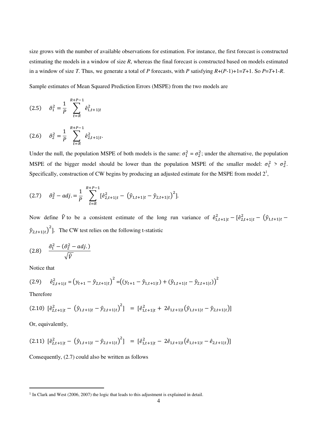size grows with the number of available observations for estimation. For instance, the first forecast is constructed estimating the models in a window of size *R*, whereas the final forecast is constructed based on models estimated in a window of size *T*. Thus, we generate a total of *P* forecasts, with *P* satisfying *R*+(*P*-1)+1=*T*+1. So *P*=*T*+1-*R*.

Sample estimates of Mean Squared Prediction Errors (MSPE) from the two models are

$$
(2.5) \quad \hat{\sigma}_1^2 = \frac{1}{P} \sum_{t=R}^{R+P-1} \hat{e}_{1,t+1|t}^2
$$

$$
(2.6) \quad \hat{\sigma}_2^2 = \frac{1}{p} \sum_{t=R}^{R+P-1} \hat{e}_{2,t+1|t}^2.
$$

Under the null, the population MSPE of both models is the same:  $\sigma_1^2 = \sigma_2^2$ ; under the alternative, the population MSPE of the bigger model should be lower than the population MSPE of the smaller model:  $\sigma_1^2 > \sigma_2^2$ . Specifically, construction of CW begins by producing an adjusted estimate for the MSPE from model  $2<sup>1</sup>$ ,

$$
(2.7) \quad \hat{\sigma}_2^2 - adj. = \frac{1}{P} \sum_{t=R}^{R+P-1} [\hat{e}_{2,t+1|t}^2 - (\hat{y}_{1,t+1|t} - \hat{y}_{2,t+1|t})^2].
$$

Now define  $\hat{V}$  to be a consistent estimate of the long run variance of  $\hat{e}_{1,t+1|t}^2 - [\hat{e}_{2,t+1|t}^2 - (\hat{y}_{1,t+1|t} (\hat{y}_{2,t+1|t})^2$ . The CW test relies on the following t-statistic

$$
(2.8) \quad \frac{\hat{\sigma}_1^2 - (\hat{\sigma}_2^2 - adj.)}{\sqrt{\hat{V}}}
$$

Notice that

$$
(2.9) \quad \hat{e}_{2,t+1|t}^{2} = (y_{t+1} - \hat{y}_{2,t+1|t})^{2} = ((y_{t+1} - \hat{y}_{1,t+1|t}) + (\hat{y}_{1,t+1|t} - \hat{y}_{2,t+1|t}))^{2}
$$

Therefore

-

$$
(2.10) \left[ \hat{e}_{2,t+1|t}^2 - \left( \hat{y}_{1,t+1|t} - \hat{y}_{2,t+1|t} \right)^2 \right] = \left[ \hat{e}_{1,t+1|t}^2 + 2\hat{e}_{1,t+1|t} \left( \hat{y}_{1,t+1|t} - \hat{y}_{2,t+1|t} \right) \right]
$$

Or, equivalently,

$$
(2.11) \left[ \hat{e}_{2,t+1|t}^2 - \left( \hat{y}_{1,t+1|t} - \hat{y}_{2,t+1|t} \right)^2 \right] = \left[ \hat{e}_{1,t+1|t}^2 - 2\hat{e}_{1,t+1|t} \left( \hat{e}_{1,t+1|t} - \hat{e}_{2,t+1|t} \right) \right]
$$

Consequently, (2.7) could also be written as follows

<sup>&</sup>lt;sup>1</sup> In Clark and West (2006, 2007) the logic that leads to this adjustment is explained in detail.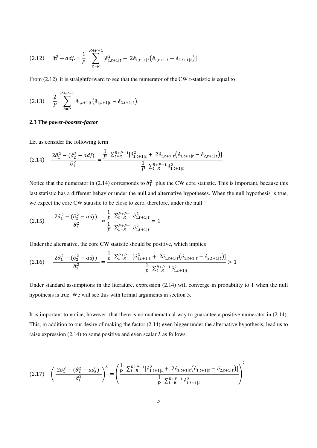$$
(2.12) \quad \hat{\sigma}_2^2 - adj. = \frac{1}{P} \sum_{t=R}^{R+P-1} [\hat{e}_{1,t+1|t}^2 - 2\hat{e}_{1,t+1|t} (\hat{e}_{1,t+1|t} - \hat{e}_{2,t+1|t})]
$$

From  $(2.12)$  it is straightforward to see that the numerator of the CW t-statistic is equal to

$$
(2.13) \quad \frac{2}{P} \sum_{t=R}^{R+P-1} \hat{e}_{1,t+1|t} \big( \hat{e}_{1,t+1|t} - \hat{e}_{2,t+1|t} \big).
$$

## **2.3 The** *power-booster-factor*

Let us consider the following term

$$
(2.14) \quad \frac{2\hat{\sigma}_1^2 - (\hat{\sigma}_2^2 - adj)}{\hat{\sigma}_1^2} = \frac{\frac{1}{P} \sum_{t=R}^{R+P-1} [\hat{e}_{1,t+1|t}^2 + 2\hat{e}_{1,t+1|t} (\hat{e}_{1,t+1|t} - \hat{e}_{2,t+1|t})]}{\frac{1}{P} \sum_{t=R}^{R+P-1} \hat{e}_{1,t+1|t}^2}
$$

Notice that the numerator in (2.14) corresponds to  $\hat{\sigma}_1^2$  plus the CW core statistic. This is important, because this last statistic has a different behavior under the null and alternative hypotheses. When the null hypothesis is true, we expect the core CW statistic to be close to zero, therefore, under the null

$$
(2.15) \qquad \frac{2\hat{\sigma}_1^2 - (\hat{\sigma}_2^2 - adj)}{\hat{\sigma}_1^2} \approx \frac{\frac{1}{P} \sum_{t=R}^{R+P-1} \hat{e}_{1,t+1|t}^2}{\frac{1}{P} \sum_{t=R}^{R+P-1} \hat{e}_{1,t+1|t}^2} = 1
$$

Under the alternative, the core CW statistic should be positive, which implies

$$
(2.16) \qquad \frac{2\hat{\sigma}_1^2 - (\hat{\sigma}_2^2 - adj)}{\hat{\sigma}_1^2} = \frac{\frac{1}{P} \sum_{t=R}^{R+P-1} [\hat{e}_{1,t+1|t}^2 + 2\hat{e}_{1,t+1|t} (\hat{e}_{1,t+1|t} - \hat{e}_{2,t+1|t})]}{\frac{1}{P} \sum_{t=R}^{R+P-1} \hat{e}_{1,t+1|t}^2} > 1
$$

Under standard assumptions in the literature, expression (2.14) will converge in probability to 1 when the null hypothesis is true. We will see this with formal arguments in section 3.

It is important to notice, however, that there is no mathematical way to guarantee a positive numerator in (2.14). This, in addition to our desire of making the factor (2.14) even bigger under the alternative hypothesis, lead us to raise expression (2.14) to some positive and even scalar  $\lambda$  as follows

$$
(2.17) \quad \left(\frac{2\hat{\sigma}_1^2 - (\hat{\sigma}_2^2 - adj)}{\hat{\sigma}_1^2}\right)^{\lambda} = \left(\frac{\frac{1}{P} \sum_{t=R}^{R+P-1} [\hat{e}_{1,t+1|t}^2 + 2\hat{e}_{1,t+1|t} (\hat{e}_{1,t+1|t} - \hat{e}_{2,t+1|t})]}{\frac{1}{P} \sum_{t=R}^{R+P-1} \hat{e}_{1,t+1|t}^2}\right)^{\lambda}
$$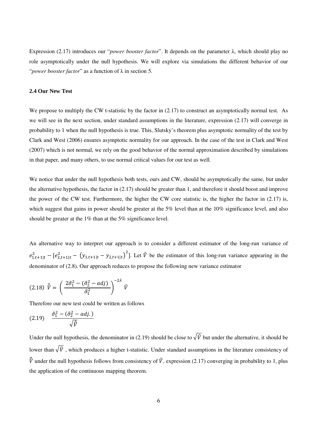Expression (2.17) introduces our "*power booster factor*". It depends on the parameter λ, which should play no role asymptotically under the null hypothesis. We will explore via simulations the different behavior of our "*power booster factor*" as a function of λ in section 5.

## **2.4 Our New Test**

We propose to multiply the CW t-statistic by the factor in  $(2.17)$  to construct an asymptotically normal test. As we will see in the next section, under standard assumptions in the literature, expression (2.17) will converge in probability to 1 when the null hypothesis is true. This, Slutsky's theorem plus asymptotic normality of the test by Clark and West (2006) ensures asymptotic normality for our approach. In the case of the test in Clark and West (2007) which is not normal, we rely on the good behavior of the normal approximation described by simulations in that paper, and many others, to use normal critical values for our test as well.

We notice that under the null hypothesis both tests, ours and CW, should be asymptotically the same, but under the alternative hypothesis, the factor in (2.17) should be greater than 1, and therefore it should boost and improve the power of the CW test. Furthermore, the higher the CW core statistic is, the higher the factor in (2.17) is, which suggest that gains in power should be greater at the 5% level than at the 10% significance level, and also should be greater at the 1% than at the 5% significance level.

An alternative way to interpret our approach is to consider a different estimator of the long-run variance of  $e_{1,t+1|t}^2 - [e_{2,t+1|t}^2 - (y_{1,t+1|t} - y_{2,t+1|t})^2]$ . Let  $\hat{V}$  be the estimator of this long-run variance appearing in the denominator of (2.8). Our approach reduces to propose the following new variance estimator

$$
(2.18) \ \hat{\hat{V}} = \left(\frac{2\hat{\sigma}_1^2 - (\hat{\sigma}_2^2 - adj)}{\hat{\sigma}_1^2}\right)^{-2\lambda} \hat{V}
$$

Therefore our new test could be written as follows

$$
(2.19) \quad \frac{\hat{\sigma}_1^2 - (\hat{\sigma}_2^2 - adj.)}{\sqrt{\hat{v}}}
$$

Under the null hypothesis, the denominator in (2.19) should be close to  $\sqrt{\hat{V}}$  but under the alternative, it should be lower than  $\sqrt{\hat{V}}$ , which produces a higher t-statistic. Under standard assumptions in the literature consistency of  $\hat{V}$  under the null hypothesis follows from consistency of  $\hat{V}$ , expression (2.17) converging in probability to 1, plus the application of the continuous mapping theorem.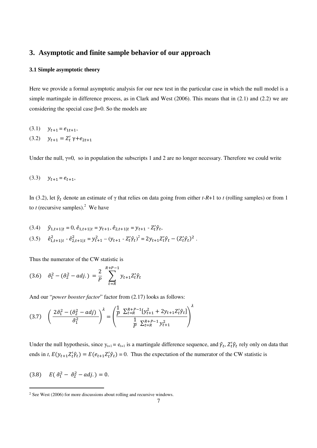# **3. Asymptotic and finite sample behavior of our approach**

## **3.1 Simple asymptotic theory**

Here we provide a formal asymptotic analysis for our new test in the particular case in which the null model is a simple martingale in difference process, as in Clark and West (2006). This means that in (2.1) and (2.2) we are considering the special case  $\beta$ =0. So the models are

(3.1) 
$$
y_{t+1} = e_{1t+1},
$$
  
(3.2)  $y_{t+1} = Z'_t \gamma + e_{2t+1}$ 

Under the null,  $\gamma=0$ , so in population the subscripts 1 and 2 are no longer necessary. Therefore we could write

$$
(3.3) \t y_{t+1} = e_{t+1},
$$

In (3.2), let  $\hat{\gamma}_t$  denote an estimate of  $\gamma$  that relies on data going from either *t*-R+1 to *t* (rolling samples) or from 1 to  $t$  (recursive samples).<sup>2</sup> We have

$$
(3.4) \quad \hat{y}_{1,t+1|t} = 0, \, \hat{e}_{1,t+1|t} = y_{t+1}, \, \hat{e}_{2,t+1|t} = y_{t+1} - Z_t^t \hat{\gamma}_t,
$$

$$
(3.5) \quad \hat{e}_{1,t+1|t}^2 - \hat{e}_{2,t+1|t}^2 = y_{t+1}^2 - (y_{t+1} - Z_t' \hat{\gamma}_t)^2 = 2y_{t+1} Z_t' \hat{\gamma}_t - (Z_t' \hat{\gamma}_t)^2 \; .
$$

Thus the numerator of the CW statistic is

$$
(3.6) \quad \hat{\sigma}_1^2 - (\hat{\sigma}_2^2 - adj.) = \frac{2}{P} \sum_{t=R}^{R+P-1} y_{t+1} Z_t^t \hat{\gamma}_t
$$

And our "*power booster factor*" factor from (2.17) looks as follows:

$$
(3.7) \quad \left(\frac{2\hat{\sigma}_1^2 - (\hat{\sigma}_2^2 - adj)}{\hat{\sigma}_1^2}\right)^{\lambda} = \left(\frac{\frac{1}{P} \sum_{t=R}^{R+P-1} [y_{t+1}^2 + 2y_{t+1} Z_t' \hat{\gamma}_t]}{\frac{1}{P} \sum_{t=R}^{R+P-1} y_{t+1}^2}\right)^{\lambda}
$$

Under the null hypothesis, since  $y_{t+1} = e_{t+1}$  is a martingale difference sequence, and  $\hat{\gamma}_t$ ,  $Z_t' \hat{\gamma}_t$  rely only on data that ends in *t*,  $E(y_{t+1}Z_t'\hat{\gamma}_t) = E(e_{t+1}Z_t'\hat{\gamma}_t) = 0$ . Thus the expectation of the numerator of the CW statistic is

$$
(3.8) \tE(\hat{\sigma}_1^2 - \hat{\sigma}_2^2 - adj.) = 0.
$$

-

<sup>2</sup> See West (2006) for more discussions about rolling and recursive windows.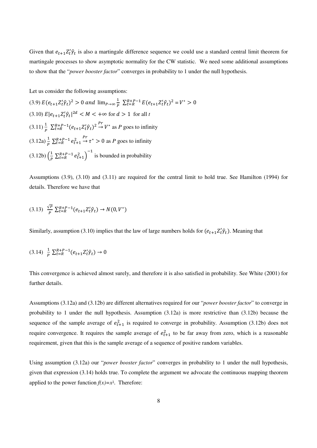Given that  $e_{t+1}Z_t'\hat{\gamma}_t$  is also a martingale difference sequence we could use a standard central limit theorem for martingale processes to show asymptotic normality for the CW statistic. We need some additional assumptions to show that the "*power booster factor*" converges in probability to 1 under the null hypothesis.

Let us consider the following assumptions:

(3.9)  $E(e_{t+1}Z_t'\hat{\gamma}_t)^2 > 0$  and  $\lim_{P\to\infty} \frac{1}{P}$  $\frac{1}{P} \sum_{t=R}^{R+P-1} E(e_{t+1} Z_t' \hat{\gamma}_t)^2 = V^* > 0$  $(3.10) E|e_{t+1}Z_t'\hat{\gamma}_t|^{2d} < M < +\infty$  for  $d > 1$  for all *t*  $(3.11)\frac{1}{p}\sum_{t=R}^{R+P-1}(e_{t+1}Z_t'\hat{\gamma}_t)^2$  $P^r \to V^*$  as *P* goes to infinity  $(3.12a) \frac{1}{p} \sum_{t=R}^{R+p-1} e_{t+1}^2$  $\overrightarrow{P}$   $\tau^* > 0$  as *P* goes to infinity  $(3.12b) \left(\frac{1}{p}\right)$  $\frac{1}{p} \sum_{t=R}^{R+P-1} e_{t+1}^2 \bigg)^{-1}$  is bounded in probability

Assumptions (3.9), (3.10) and (3.11) are required for the central limit to hold true. See Hamilton (1994) for details. Therefore we have that

$$
(3.13) \frac{\sqrt{p}}{p} \sum_{t=R}^{R+P-1} (e_{t+1} Z_t' \hat{\gamma}_t) \to N(0, V^*)
$$

Similarly, assumption (3.10) implies that the law of large numbers holds for  $(e_{t+1}Z_t'\hat{\gamma}_t)$ . Meaning that

$$
(3.14) \frac{1}{p} \sum_{t=R}^{R+P-1} (e_{t+1} Z_t' \hat{\gamma}_t) \to 0
$$

This convergence is achieved almost surely, and therefore it is also satisfied in probability. See White (2001) for further details.

Assumptions (3.12a) and (3.12b) are different alternatives required for our "*power booster factor*" to converge in probability to 1 under the null hypothesis. Assumption (3.12a) is more restrictive than (3.12b) because the sequence of the sample average of  $e_{t+1}^2$  is required to converge in probability. Assumption (3.12b) does not require convergence. It requires the sample average of  $e_{t+1}^2$  to be far away from zero, which is a reasonable requirement, given that this is the sample average of a sequence of positive random variables.

Using assumption (3.12a) our "*power booster factor*" converges in probability to 1 under the null hypothesis, given that expression (3.14) holds true. To complete the argument we advocate the continuous mapping theorem applied to the power function  $f(x)=x^{\lambda}$ . Therefore: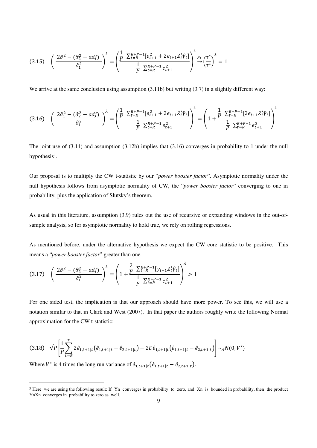$$
(3.15) \quad \left(\frac{2\hat{\sigma}_1^2 - (\hat{\sigma}_2^2 - adj)}{\hat{\sigma}_1^2}\right)^{\lambda} = \left(\frac{\frac{1}{P} \sum_{t=R}^{R+P-1} [e_{t+1}^2 + 2e_{t+1} Z_t' \hat{\gamma}_t]}{\frac{1}{P} \sum_{t=R}^{R+P-1} e_{t+1}^2}\right)^{\lambda} \stackrel{Pr}{\rightarrow} \left(\frac{\tau^*}{\tau^*}\right)^{\lambda} = 1
$$

We arrive at the same conclusion using assumption (3.11b) but writing (3.7) in a slightly different way:

$$
(3.16)\quad \left(\frac{2\hat{\sigma}_1^2 - (\hat{\sigma}_2^2 - adj)}{\hat{\sigma}_1^2}\right)^{\lambda} = \left(\frac{\frac{1}{P} \sum_{t=R}^{R+P-1} [e_{t+1}^2 + 2e_{t+1} Z_t' \hat{\gamma}_t]}{\frac{1}{P} \sum_{t=R}^{R+P-1} e_{t+1}^2}\right)^{\lambda} = \left(1 + \frac{\frac{1}{P} \sum_{t=R}^{R+P-1} [2e_{t+1} Z_t' \hat{\gamma}_t]}{\frac{1}{P} \sum_{t=R}^{R+P-1} e_{t+1}^2}\right)^{\lambda}
$$

The joint use of (3.14) and assumption (3.12b) implies that (3.16) converges in probability to 1 under the null hypothesis $3$ .

Our proposal is to multiply the CW t-statistic by our "*power booster factor*". Asymptotic normality under the null hypothesis follows from asymptotic normality of CW, the "*power booster factor*" converging to one in probability, plus the application of Slutsky's theorem.

As usual in this literature, assumption (3.9) rules out the use of recursive or expanding windows in the out-ofsample analysis, so for asymptotic normality to hold true, we rely on rolling regressions.

As mentioned before, under the alternative hypothesis we expect the CW core statistic to be positive. This means a "*power booster factor*" greater than one.

$$
(3.17) \quad \left(\frac{2\hat{\sigma}_1^2 - (\hat{\sigma}_2^2 - adj)}{\hat{\sigma}_1^2}\right)^{\lambda} = \left(1 + \frac{\frac{2}{P} \sum_{t=R}^{R+P-1} [y_{t+1} Z_t' \hat{\gamma}_t]}{\frac{1}{P} \sum_{t=R}^{R+P-1} e_{t+1}^2}\right)^{\lambda} > 1
$$

For one sided test, the implication is that our approach should have more power. To see this, we will use a notation similar to that in Clark and West (2007). In that paper the authors roughly write the following Normal approximation for the CW t-statistic:

$$
(3.18) \quad \sqrt{P} \left[ \frac{1}{P} \sum_{t=R}^{T} 2 \hat{e}_{1,t+1|t} \left( \hat{e}_{1,t+1|t} - \hat{e}_{2,t+1|t} \right) - 2E \hat{e}_{1,t+1|t} \left( \hat{e}_{1,t+1|t} - \hat{e}_{2,t+1|t} \right) \right] \sim_A N(0, V^*)
$$

Where  $V^*$  is 4 times the long run variance of  $\hat{e}_{1,t+1|t}(\hat{e}_{1,t+1|t} - \hat{e}_{2,t+1|t})$ .

-

<sup>&</sup>lt;sup>3</sup> Here we are using the following result: If Yn converges in probability to zero, and Xn is bounded in probability, then the product YnXn converges in probability to zero as well.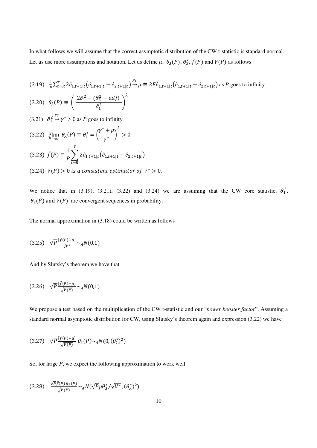In what follows we will assume that the correct asymptotic distribution of the CW t-statistic is standard normal. Let us use more assumptions and notation. Let us define  $\mu$ ,  $\theta_{\lambda}(P)$ ,  $\theta_{\lambda}^{*}$ ,  $\bar{f}(P)$  and  $V(P)$  as follows

(3.19) 
$$
\frac{1}{p} \sum_{t=R}^{T} 2\hat{e}_{1,t+1|t} (\hat{e}_{1,t+1|t} - \hat{e}_{2,t+1|t})^{\Pr} \mu \equiv 2E \hat{e}_{1,t+1|t} (\hat{e}_{1,t+1|t} - \hat{e}_{2,t+1|t}) \text{ as } P \text{ goes to infinity}
$$
  
\n(3.20)  $\theta_{\lambda}(P) \equiv \left( \frac{2\hat{\sigma}_{1}^{2} - (\hat{\sigma}_{2}^{2} - adj)}{\hat{\sigma}_{1}^{2}} \right)^{\lambda}$   
\n(3.21)  $\hat{\sigma}_{1}^{2} \stackrel{Pr}{\rightarrow} \gamma^{*} > 0$  as  $P \text{ goes to infinity}$   
\n(3.22)  $\lim_{P \to \infty} \theta_{\lambda}(P) \equiv \theta_{\lambda}^{*} = \left( \frac{\gamma^{*} + \mu}{\gamma^{*}} \right)^{\lambda} > 0$   
\n(3.23)  $\bar{f}(P) \equiv \frac{1}{P} \sum_{t=R}^{T} 2\hat{e}_{1,t+1|t} (\hat{e}_{1,t+1|t} - \hat{e}_{2,t+1|t})$   
\n(3.24)  $V(P) > 0$  is a consistent estimator of  $V^{*} > 0$ .

We notice that in (3.19), (3.21), (3.22) and (3.24) we are assuming that the CW core statistic,  $\hat{\sigma}_1^2$ ,  $\theta_{\lambda}(P)$  and  $V(P)$  are convergent sequences in probability.

The normal approximation in (3.18) could be written as follows

$$
(3.25) \quad \sqrt{P} \frac{[\bar{f}(P) - \mu]}{\sqrt{V^*}} \sim_A N(0, 1)
$$

And by Slutsky's theorem we have that

$$
(3.26) \quad \sqrt{P} \frac{[\bar{f}(P) - \mu]}{\sqrt{V(P)}} \sim_A N(0, 1)
$$

We propose a test based on the multiplication of the CW t-statistic and our "*power booster factor*". Assuming a standard normal asymptotic distribution for CW, using Slutsky's theorem again and expression (3.22) we have

$$
(3.27) \quad \sqrt{P} \frac{\sqrt{f(P)} - \mu)}{\sqrt{V(P)}} \theta_{\lambda}(P) \sim_A N(0, (\theta_{\lambda}^*)^2)
$$

So, for large *P*, we expect the following approximation to work well

$$
(3.28) \quad \frac{\sqrt{p_f}(P)\theta_\lambda(P)}{\sqrt{V(P)}} \sim_A N(\sqrt{P}\mu\theta_\lambda^*/\sqrt{V^*}, (\theta_\lambda^*)^2)
$$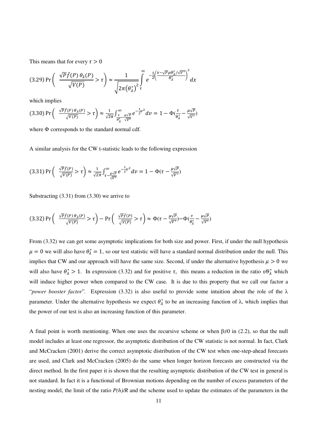This means that for every  $\tau > 0$ 

$$
(3.29) \Pr\left(\frac{\sqrt{P}\bar{f}(P) \theta_{\lambda}(P)}{\sqrt{V(P)}} > \tau\right) \approx \frac{1}{\sqrt{2\pi(\theta_{\lambda}^*)^2}} \int_{\tau}^{\infty} e^{-\frac{1}{2}\left(\frac{x-\sqrt{P}\mu\theta_{\lambda}^*/\sqrt{V^*}}{\theta_{\lambda}^*}\right)^2} dx
$$

which implies

$$
(3.30)\Pr\left(\frac{\sqrt{Pf}(P)\theta_{\lambda}(P)}{\sqrt{V(P)}} > \tau\right) \approx \frac{1}{\sqrt{2\pi}} \int_{\frac{\tau}{\theta_{\lambda}^{*}} - \frac{\mu\sqrt{P}}{\sqrt{V^{*}}}}^{\infty} e^{-\frac{1}{2}v^{2}} dv = 1 - \Phi(\frac{\tau}{\theta_{\lambda}^{*}} - \frac{\mu\sqrt{P}}{\sqrt{V^{*}}})
$$

where Φ corresponds to the standard normal cdf.

A similar analysis for the CW t-statistic leads to the following expression

$$
(3.31)\Pr\left(\sqrt{\frac{\sqrt{p}\bar{f}(P)}{\sqrt{V(P)}}} > \tau\right) \approx \frac{1}{\sqrt{2\pi}} \int_{\tau-\frac{\mu\sqrt{P}}{\sqrt{V^*}}}^{\infty} e^{-\frac{1}{2}v^2} dv = 1 - \Phi(\tau-\frac{\mu\sqrt{P}}{\sqrt{V^*}})
$$

Substracting (3.31) from (3.30) we arrive to

$$
(3.32)\Pr\left(\begin{array}{c}\frac{\sqrt{p}\bar{f}(P)\theta_{\lambda}(P)}{\sqrt{V(P)}}>\tau\end{array}\right)-\Pr\left(\begin{array}{c}\frac{\sqrt{p}\bar{f}(P)}{\sqrt{V(P)}}>\tau\end{array}\right)\approx \Phi(\tau-\frac{\mu\sqrt{p}}{\sqrt{V^*}})-\Phi(\frac{\tau}{\theta^*_{\lambda}}-\frac{\mu\sqrt{p}}{\sqrt{V^*}})
$$

From (3.32) we can get some asymptotic implications for both size and power. First, if under the null hypothesis  $\mu = 0$  we will also have  $\theta_{\lambda}^* = 1$ , so our test statistic will have a standard normal distribution under the null. This implies that CW and our approach will have the same size. Second, if under the alternative hypothesis  $\mu > 0$  we will also have  $\theta_{\lambda}^* > 1$ . In expression (3.32) and for positive  $\tau$ , this means a reduction in the ratio  $\tau/\theta_{\lambda}^*$  which will induce higher power when compared to the CW case. It is due to this property that we call our factor a "*power booster factor*"*.* Expression (3.32) is also useful to provide some intuition about the role of the λ parameter. Under the alternative hypothesis we expect  $\theta_{\lambda}^{*}$  to be an increasing function of  $\lambda$ , which implies that the power of our test is also an increasing function of this parameter.

A final point is worth mentioning. When one uses the recursive scheme or when  $\beta \neq 0$  in (2.2), so that the null model includes at least one regressor, the asymptotic distribution of the CW statistic is not normal. In fact, Clark and McCracken (2001) derive the correct asymptotic distribution of the CW test when one-step-ahead forecasts are used, and Clark and McCracken (2005) do the same when longer horizon forecasts are constructed via the direct method. In the first paper it is shown that the resulting asymptotic distribution of the CW test in general is not standard. In fact it is a functional of Brownian motions depending on the number of excess parameters of the nesting model, the limit of the ratio *P(h)/R* and the scheme used to update the estimates of the parameters in the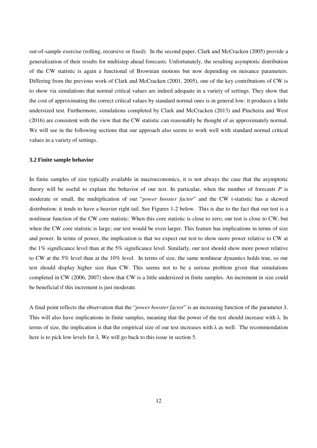out-of-sample exercise (rolling, recursive or fixed). In the second paper, Clark and McCracken (2005) provide a generalization of their results for multistep ahead forecasts. Unfortunately, the resulting asymptotic distribution of the CW statistic is again a functional of Brownian motions but now depending on nuisance parameters. Differing from the previous work of Clark and McCracken (2001, 2005), one of the key contributions of CW is to show via simulations that normal critical values are indeed adequate in a variety of settings. They show that the cost of approximating the correct critical values by standard normal ones is in general low: it produces a little undersized test. Furthermore, simulations completed by Clark and McCracken (2013) and Pincheira and West (2016) are consistent with the view that the CW statistic can reasonably be thought of as approximately normal. We will see in the following sections that our approach also seems to work well with standard normal critical values in a variety of settings.

## **3.2 Finite sample behavior**

In finite samples of size typically available in macroeconomics, it is not always the case that the asymptotic theory will be useful to explain the behavior of our test. In particular, when the number of forecasts *P* is moderate or small, the multiplication of our "*power booster factor*" and the CW t-statistic has a skewed distribution: it tends to have a heavier right tail. See Figures 1-2 below. This is due to the fact that our test is a nonlinear function of the CW core statistic: When this core statistic is close to zero, our test is close to CW, but when the CW core statistic is large; our test would be even larger. This feature has implications in terms of size and power. In terms of power, the implication is that we expect our test to show more power relative to CW at the 1% significance level than at the 5% significance level. Similarly, our test should show more power relative to CW at the 5% level than at the 10% level. In terms of size, the same nonlinear dynamics holds true, so our test should display higher size than CW. This seems not to be a serious problem given that simulations completed in CW (2006, 2007) show that CW is a little undersized in finite samples. An increment in size could be beneficial if this increment is just moderate.

A final point reflects the observation that the "*power booster factor*" is an increasing function of the parameter *λ*. This will also have implications in finite samples, meaning that the power of the test should increase with  $\lambda$ . In terms of size, the implication is that the empirical size of our test increases with  $\lambda$  as well. The recommendation here is to pick low levels for *λ.* We will go back to this issue in section 5.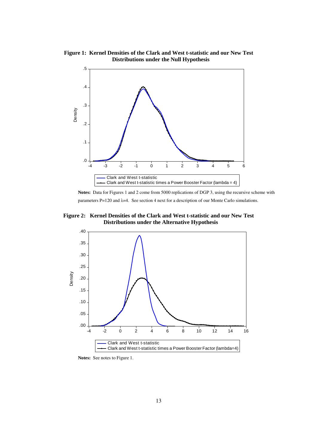**Figure 1: Kernel Densities of the Clark and West t-statistic and our New Test Distributions under the Null Hypothesis**



**Notes:** Data for Figures 1 and 2 come from 5000 replications of DGP 3, using the recursive scheme with parameters P=120 and λ=4. See section 4 next for a description of our Monte Carlo simulations.

**Figure 2: Kernel Densities of the Clark and West t-statistic and our New Test Distributions under the Alternative Hypothesis**



**Notes:** See notes to Figure 1.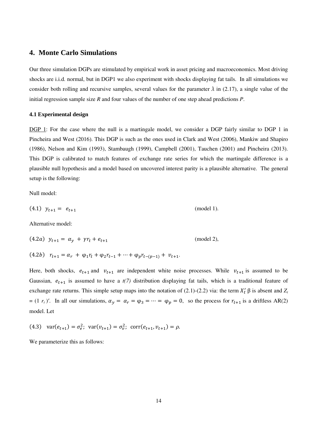# **4. Monte Carlo Simulations**

Our three simulation DGPs are stimulated by empirical work in asset pricing and macroeconomics. Most driving shocks are i.i.d. normal, but in DGP1 we also experiment with shocks displaying fat tails. In all simulations we consider both rolling and recursive samples, several values for the parameter  $\lambda$  in (2.17), a single value of the initial regression sample size *R* and four values of the number of one step ahead predictions *P*.

#### **4.1 Experimental design**

DGP 1: For the case where the null is a martingale model, we consider a DGP fairly similar to DGP 1 in Pincheira and West (2016). This DGP is such as the ones used in Clark and West (2006), Mankiw and Shapiro (1986), Nelson and Kim (1993), Stambaugh (1999), Campbell (2001), Tauchen (2001) and Pincheira (2013). This DGP is calibrated to match features of exchange rate series for which the martingale difference is a plausible null hypothesis and a model based on uncovered interest parity is a plausible alternative. The general setup is the following:

Null model:

$$
(4.1) \ \ y_{t+1} = \ e_{t+1} \tag{model 1}.
$$

Alternative model:

$$
(4.2a) \ \ y_{t+1} = \alpha_y + \gamma r_t + e_{t+1} \tag{model 2},
$$

$$
(4.2b) \quad r_{t+1} = \alpha_r + \varphi_1 r_t + \varphi_2 r_{t-1} + \dots + \varphi_p r_{t-(p-1)} + v_{t+1}.
$$

Here, both shocks,  $e_{t+1}$  and  $v_{t+1}$  are independent white noise processes. While  $v_{t+1}$  is assumed to be Gaussian,  $e_{t+1}$  is assumed to have a  $t(7)$  distribution displaying fat tails, which is a traditional feature of exchange rate returns. This simple setup maps into the notation of  $(2.1)-(2.2)$  via: the term  $X'_t \beta$  is absent and  $Z_t$  $=(1 \ r_t)'$ . In all our simulations,  $\alpha_y = \alpha_r = \varphi_3 = \cdots = \varphi_p = 0$ , so the process for  $r_{t+1}$  is a driftless AR(2) model. Let

(4.3) 
$$
\text{var}(e_{t+1}) = \sigma_e^2
$$
;  $\text{var}(v_{t+1}) = \sigma_v^2$ ;  $\text{corr}(e_{t+1}, v_{t+1}) = \rho$ .

We parameterize this as follows: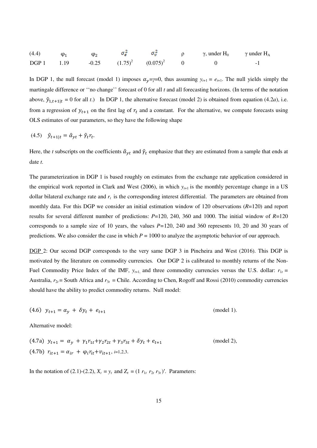| (4.4)            |      | $\omega$ |                                |  | $\gamma$ , under H <sub>0</sub> $\gamma$ under H <sub>A</sub> |                          |
|------------------|------|----------|--------------------------------|--|---------------------------------------------------------------|--------------------------|
| DGP <sub>1</sub> | 1.19 |          | $-0.25$ $(1.75)^2$ $(0.075)^2$ |  |                                                               | $\overline{\phantom{0}}$ |

In DGP 1, the null forecast (model 1) imposes  $\alpha_v = \gamma = 0$ , thus assuming  $y_{t+1} = e_{t+1}$ . The null yields simply the martingale difference or ''no change'' forecast of 0 for all *t* and all forecasting horizons. (In terms of the notation above,  $\hat{y}_{1,t+1|t} = 0$  for all *t*.) In DGP 1, the alternative forecast (model 2) is obtained from equation (4.2*a*), i.e. from a regression of  $y_{t+1}$  on the first lag of  $r_t$  and a constant. For the alternative, we compute forecasts using OLS estimates of our parameters, so they have the following shape

$$
(4.5) \quad \hat{y}_{t+1|t} = \hat{\alpha}_{yt} + \hat{\gamma}_t r_t.
$$

Here, the *t* subscripts on the coefficients  $\hat{a}_{yt}$  and  $\hat{\gamma}_t$  emphasize that they are estimated from a sample that ends at date *t*.

The parameterization in DGP 1 is based roughly on estimates from the exchange rate application considered in the empirical work reported in Clark and West (2006), in which  $y_{t+1}$  is the monthly percentage change in a US dollar bilateral exchange rate and  $r<sub>t</sub>$  is the corresponding interest differential. The parameters are obtained from monthly data. For this DGP we consider an initial estimation window of 120 observations (*R*=120) and report results for several different number of predictions: *P*=120, 240, 360 and 1000. The initial window of *R*=120 corresponds to a sample size of 10 years, the values *P=*120, 240 and 360 represents 10, 20 and 30 years of predictions. We also consider the case in which  $P = 1000$  to analyze the asymptotic behavior of our approach.

DGP 2: Our second DGP corresponds to the very same DGP 3 in Pincheira and West (2016). This DGP is motivated by the literature on commodity currencies*.* Our DGP 2 is calibrated to monthly returns of the Non-Fuel Commodity Price Index of the IMF,  $y_{t+1}$  and three commodity currencies versus the U.S. dollar:  $r_{1t}$  = Australia,  $r_{2t}$  = South Africa and  $r_{3t}$  = Chile. According to Chen, Rogoff and Rossi (2010) commodity currencies should have the ability to predict commodity returns. Null model:

(4.6) 
$$
y_{t+1} = \alpha_y + \delta y_t + e_{t+1}
$$
 (model 1).

Alternative model:

(4.7a) 
$$
y_{t+1} = \alpha_y + \gamma_1 r_{1t} + \gamma_2 r_{2t} + \gamma_3 r_{3t} + \delta y_t + e_{t+1}
$$
 (model 2),  
(4.7b)  $r_{it+1} = \alpha_{ir} + \varphi_i r_{it} + v_{it+1}, i=1,2,3.$ 

In the notation of (2.1)-(2.2),  $X_t = y_t$  and  $Z_t = (1 r_{1t} r_{2t} r_{3t})'$ . Parameters: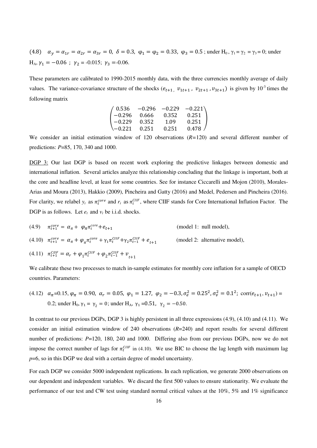(4.8)  $\alpha_y = \alpha_{1r} = \alpha_{2r} = \alpha_{3r} = 0$ ,  $\delta = 0.3$ ,  $\varphi_1 = \varphi_2 = 0.33$ ,  $\varphi_3 = 0.5$ ; under H<sub>0</sub>,  $\gamma_1 = \gamma_2 = \gamma_3 = 0$ ; under H<sub>A</sub>,  $\gamma_1 = -0.06$ ;  $\gamma_2 = -0.015$ ;  $\gamma_3 = -0.06$ .

These parameters are calibrated to 1990-2015 monthly data, with the three currencies monthly average of daily values. The variance-covariance structure of the shocks  $(e_{t+1}, v_{1t+1}, v_{2t+1}, v_{3t+1})$  is given by  $10^{-3}$  times the following matrix

| $\begin{pmatrix} 0.536 & -0.296 & -0.229 & -0.221 \\ -0.296 & 0.666 & 0.352 & 0.251 \\ -0.229 & 0.352 & 1.09 & 0.251 \end{pmatrix}$<br>$\vert -0.229 \vert$ |       |       |       |
|-------------------------------------------------------------------------------------------------------------------------------------------------------------|-------|-------|-------|
| $\setminus -0.221$                                                                                                                                          | 0.251 | 0.251 | 0.478 |

We consider an initial estimation window of 120 observations (*R=*120) and several different number of predictions: *P*=85, 170, 340 and 1000.

DGP 3: Our last DGP is based on recent work exploring the predictive linkages between domestic and international inflation. Several articles analyze this relationship concluding that the linkage is important, both at the core and headline level, at least for some countries. See for instance Ciccarelli and Mojon (2010), Morales-Arias and Moura (2013), Hakkio (2009), Pincheira and Gatty (2016) and Medel, Pedersen and Pincheira (2016). For clarity, we relabel  $y_t$  as  $\pi_t^{core}$  and  $r_t$  as  $\pi_t^{CIF}$ , where CIIF stands for Core International Inflation Factor. The DGP is as follows. Let *et* and *νt* be i.i.d. shocks.

(4.9)  $\pi_{t+1}^{core} = \alpha_{\pi} + \varphi_{\pi} \pi_t^{core} + e_t$  (model 1: null model), (4.10)  $\pi_{t+1}^{core} = \alpha_{\pi} + \varphi_{\pi} \pi_t^{core} + \gamma_1 \pi_t^{CHF} + \gamma_2 \pi_{t-1}^{CHF}$ (model 2: alternative model), (4.11)  $\pi_{t+1}^{ClIF} = \alpha_r + \varphi_1 \pi_t^{ClIF} + \varphi_2 \pi_{t-1}^{ClIF} + \nu_{t+1}$ 

We calibrate these two processes to match in-sample estimates for monthly core inflation for a sample of OECD countries. Parameters:

(4.12)  $\alpha_{\pi} = 0.15$ ,  $\varphi_{\pi} = 0.90$ ,  $\alpha_{r} = 0.05$ ,  $\varphi_{1} = 1.27$ ,  $\varphi_{2} = -0.3$ ,  $\sigma_{e}^{2} = 0.25^{2}$ ,  $\sigma_{v}^{2} = 0.1^{2}$ ; corr $(e_{t+1}, v_{t+1}) =$ 0.2; under H<sub>0</sub>,  $\gamma_1 = \gamma_2 = 0$ ; under H<sub>A</sub>,  $\gamma_1 = 0.51$ ,  $\gamma_2 = -0.50$ .

In contrast to our previous DGPs, DGP 3 is highly persistent in all three expressions (4.9), (4.10) and (4.11). We consider an initial estimation window of 240 observations (*R*=240) and report results for several different number of predictions: *P*=120, 180, 240 and 1000. Differing also from our previous DGPs, now we do not impose the correct number of lags for  $\pi_t^{ClIF}$  in (4.10). We use BIC to choose the lag length with maximum lag *p*=6, so in this DGP we deal with a certain degree of model uncertainty.

For each DGP we consider 5000 independent replications. In each replication, we generate 2000 observations on our dependent and independent variables. We discard the first 500 values to ensure stationarity. We evaluate the performance of our test and CW test using standard normal critical values at the 10%, 5% and 1% significance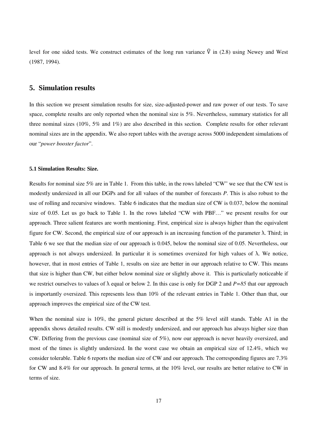level for one sided tests. We construct estimates of the long run variance  $\hat{V}$  in (2.8) using Newey and West (1987, 1994).

# **5. Simulation results**

In this section we present simulation results for size, size-adjusted-power and raw power of our tests. To save space, complete results are only reported when the nominal size is 5%. Nevertheless, summary statistics for all three nominal sizes (10%, 5% and 1%) are also described in this section. Complete results for other relevant nominal sizes are in the appendix. We also report tables with the average across 5000 independent simulations of our "*power booster factor*".

#### **5.1 Simulation Results: Size.**

Results for nominal size 5% are in Table 1. From this table, in the rows labeled "CW" we see that the CW test is modestly undersized in all our DGPs and for all values of the number of forecasts *P*. This is also robust to the use of rolling and recursive windows. Table 6 indicates that the median size of CW is 0.037, below the nominal size of 0.05. Let us go back to Table 1. In the rows labeled "CW with PBF…" we present results for our approach. Three salient features are worth mentioning. First, empirical size is always higher than the equivalent figure for CW. Second, the empirical size of our approach is an increasing function of the parameter λ. Third; in Table 6 we see that the median size of our approach is 0.045, below the nominal size of 0.05. Nevertheless, our approach is not always undersized. In particular it is sometimes oversized for high values of λ. We notice, however, that in most entries of Table 1, results on size are better in our approach relative to CW. This means that size is higher than CW, but either below nominal size or slightly above it. This is particularly noticeable if we restrict ourselves to values of  $\lambda$  equal or below 2. In this case is only for DGP 2 and  $P=85$  that our approach is importantly oversized. This represents less than 10% of the relevant entries in Table 1. Other than that, our approach improves the empirical size of the CW test.

When the nominal size is 10%, the general picture described at the 5% level still stands. Table A1 in the appendix shows detailed results. CW still is modestly undersized, and our approach has always higher size than CW. Differing from the previous case (nominal size of 5%), now our approach is never heavily oversized, and most of the times is slightly undersized. In the worst case we obtain an empirical size of 12.4%, which we consider tolerable. Table 6 reports the median size of CW and our approach. The corresponding figures are 7.3% for CW and 8.4% for our approach. In general terms, at the 10% level, our results are better relative to CW in terms of size.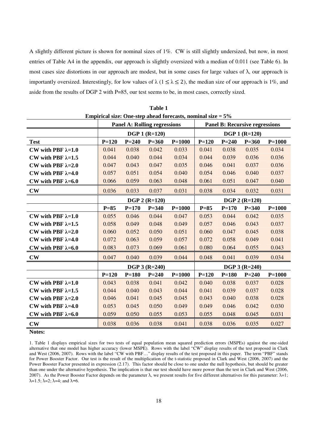A slightly different picture is shown for nominal sizes of 1%. CW is still slightly undersized, but now, in most entries of Table A4 in the appendix, our approach is slightly oversized with a median of 0.011 (see Table 6). In most cases size distortions in our approach are modest, but in some cases for large values of  $\lambda$ , our approach is importantly oversized. Interestingly, for low values of  $\lambda$  ( $1 \leq \lambda \leq 2$ ), the median size of our approach is 1%, and aside from the results of DGP 2 with P=85, our test seems to be, in most cases, correctly sized.

| Empirical size: One-step ahead forecasts, nominal size $= 5\%$ |                      |           |                                     |                 |           |           |                                       |            |
|----------------------------------------------------------------|----------------------|-----------|-------------------------------------|-----------------|-----------|-----------|---------------------------------------|------------|
|                                                                |                      |           | <b>Panel A: Rolling regressions</b> |                 |           |           | <b>Panel B: Recursive regressions</b> |            |
|                                                                |                      |           | <b>DGP 1 (R=120)</b>                |                 |           |           | <b>DGP 1 (R=120)</b>                  |            |
| <b>Test</b>                                                    | $P = 120$            | $P = 240$ | $P = 360$                           | $P = 1000$      | $P = 120$ | $P = 240$ | $P = 360$                             | $P = 1000$ |
| CW with PBF $\lambda=1.0$                                      | 0.041                | 0.038     | 0.042                               | 0.033           | 0.041     | 0.038     | 0.035                                 | 0.034      |
| CW with PBF $\lambda=1.5$                                      | 0.044                | 0.040     | 0.044                               | 0.034           | 0.044     | 0.039     | 0.036                                 | 0.036      |
| CW with PBF $\lambda=2.0$                                      | 0.047                | 0.043     | 0.047                               | 0.035           | 0.046     | 0.041     | 0.037                                 | 0.036      |
| CW with PBF $\lambda=4.0$                                      | 0.057                | 0.051     | 0.054                               | 0.040           | 0.054     | 0.046     | 0.040                                 | 0.037      |
| CW with PBF $\lambda=6.0$                                      | 0.066                | 0.059     | 0.063                               | 0.048           | 0.061     | 0.051     | 0.047                                 | 0.040      |
| $\mathbf{CW}$                                                  | 0.036                | 0.033     | 0.037                               | 0.031           | 0.038     | 0.034     | 0.032                                 | 0.031      |
|                                                                | <b>DGP 2 (R=120)</b> |           |                                     | $DGP 2 (R=120)$ |           |           |                                       |            |
|                                                                | $P=85$               | $P = 170$ | $P = 340$                           | $P=1000$        | $P=85$    | $P = 170$ | $P = 340$                             | $P = 1000$ |
| CW with PBF $\lambda=1.0$                                      | 0.055                | 0.046     | 0.044                               | 0.047           | 0.053     | 0.044     | 0.042                                 | 0.035      |
| CW with PBF $\lambda=1.5$                                      | 0.058                | 0.049     | 0.048                               | 0.049           | 0.057     | 0.046     | 0.043                                 | 0.037      |
| CW with PBF $\lambda=2.0$                                      | 0.060                | 0.052     | 0.050                               | 0.051           | 0.060     | 0.047     | 0.045                                 | 0.038      |
| CW with PBF $\lambda=4.0$                                      | 0.072                | 0.063     | 0.059                               | 0.057           | 0.072     | 0.058     | 0.049                                 | 0.041      |
| CW with PBF $\lambda=6.0$                                      | 0.083                | 0.073     | 0.069                               | 0.061           | 0.080     | 0.064     | 0.055                                 | 0.043      |
| $\mathbf{CW}$                                                  | 0.047                | 0.040     | 0.039                               | 0.044           | 0.048     | 0.041     | 0.039                                 | 0.034      |
|                                                                |                      |           | <b>DGP 3 (R=240)</b>                |                 |           |           | <b>DGP 3 (R=240)</b>                  |            |
|                                                                | $P = 120$            | $P=180$   | $P = 240$                           | $P = 1000$      | $P = 120$ | $P = 180$ | $P = 240$                             | $P = 1000$ |
| CW with PBF $\lambda=1.0$                                      | 0.043                | 0.038     | 0.041                               | 0.042           | 0.040     | 0.038     | 0.037                                 | 0.028      |
| CW with PBF $\lambda=1.5$                                      | 0.044                | 0.040     | 0.043                               | 0.044           | 0.041     | 0.039     | 0.037                                 | 0.028      |
| CW with PBF $\lambda=2.0$                                      | 0.046                | 0.041     | 0.045                               | 0.045           | 0.043     | 0.040     | 0.038                                 | 0.028      |
| CW with PBF $\lambda=4.0$                                      | 0.053                | 0.045     | 0.050                               | 0.049           | 0.049     | 0.046     | 0.042                                 | 0.030      |
| CW with PBF $\lambda=6.0$                                      | 0.059                | 0.050     | 0.055                               | 0.053           | 0.055     | 0.048     | 0.045                                 | 0.031      |
| $\mathbf{CW}$                                                  | 0.038                | 0.036     | 0.038                               | 0.041           | 0.038     | 0.036     | 0.035                                 | 0.027      |

| Table 1                                         |
|-------------------------------------------------|
| rical size: One-sten ahead forecasts, nominal s |

**Notes:** 

1. Table 1 displays empirical sizes for two tests of equal population mean squared prediction errors (MSPEs) against the one-sided alternative that one model has higher accuracy (lower MSPE). Rows with the label "CW" display results of the test proposed in Clark and West (2006, 2007). Rows with the label "CW with PBF…" display results of the test proposed in this paper. The term "PBF" stands for Power Booster Factor. Our test is the result of the multiplication of the t-statistic proposed in Clark and West (2006, 2007) and the Power Booster Factor presented in expression (2.17). This factor should be close to one under the null hypothesis, but should be greater than one under the alternative hypothesis. The implication is that our test should have more power than the test in Clark and West (2006, 2007). As the Power Booster Factor depends on the parameter  $\lambda$ , we present results for five different alternatives for this parameter:  $\lambda=1$ ;  $\lambda=1.5$ ;  $\lambda=2$ ;  $\lambda=4$ ; and  $\lambda=6$ .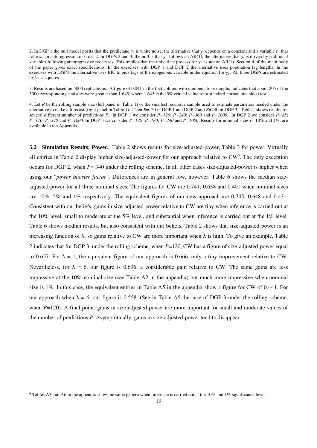2. In DGP 1 the null model posits that the predictand  $y_t$  is white noise, the alternative that  $y_t$  depends on a constant and a variable  $r_t$  that follows an autoregression of order 2. In DGPs 2 and 3, the null is that  $y_t$  follows an AR(1), the alternative that  $y_t$  is driven by additional variables following autoregressive processes. This implies that the univariate process for  $y_t$  is not an AR(1). Section 4 of the main body of the paper gives exact specifications. In the exercises with DGP 1 and DGP 2 the alternative uses population lag lengths. In the exercises with DGP3 the alternative uses BIC to pick lags of the exogenous variable in the equation for  $y_t$ . All three DGPs are estimated by least squares.

3. Results are based on 5000 replications. A figure of 0.041 in the first column with numbers, for example, indicates that about 205 of the 5000 corresponding statistics were greater than 1.645, where 1.645 is the 5% critical value for a standard normal one-sided test.

4. Let *R* be the rolling sample size (left panel in Table 1) or the smallest recursive sample used to estimate parameters needed under the alternative to make a forecast (right panel in Table 1). Then *R*=120 in DGP 1 and DGP 2 and *R*=240 in DGP 3. Table 1 shows results for several different number of predictions *P.* In DGP 1 we consider *P=120*; *P=240*; *P=360* and *P=1000*. In DGP 2 we consider *P=85*; *P=170*; *P=340* and *P=1000.* In DGP 3 we consider *P=120*; *P=180*; *P=240* and *P=1000.* Results for nominal sizes of 10% and 1%, are available in the Appendix.

**5.2 Simulation Results: Power.** Table 2 shows results for size-adjusted-power, Table 3 for power. Virtually all entries in Table 2 display higher size-adjusted-power for our approach relative to  $CW<sup>6</sup>$ . The only exception occurs for DGP 2, when *P*= 340 under the rolling scheme. In all other cases size-adjusted-power is higher when using our "*power booster factor*". Differences are in general low, however. Table 6 shows the median sizeadjusted-power for all three nominal sizes. The figures for CW are 0.741; 0.638 and 0.401 when nominal sizes are 10%, 5% and 1% respectively. The equivalent figures of our new approach are 0.745; 0.648 and 0.431. Consistent with our beliefs, gains in size-adjusted-power relative to CW are tiny when inference is carried out at the 10% level, small to moderate at the 5% level, and substantial when inference is carried out at the 1% level. Table 6 shows median results, but also consistent with our beliefs, Table 2 shows that size-adjusted-power is an increasing function of  $\lambda$ , so gains relative to CW are more important when  $\lambda$  is high. To give an example, Table 2 indicates that for DGP 3, under the rolling scheme, when *P*=120, CW has a figure of size-adjusted-power equal to 0.657. For  $\lambda = 1$ , the equivalent figure of our approach is 0.666, only a tiny improvement relative to CW. Nevertheless, for  $\lambda = 6$ , our figure is 0.696, a considerable gain relative to CW. The same gains are less impressive at the 10% nominal size (see Table A2 in the appendix) but much more impressive when nominal size is 1%. In this case, the equivalent entries in Table A5 in the appendix show a figure for CW of 0.441. For our approach when  $\lambda = 6$ , our figure is 0.558. (See in Table A5 the case of DGP 3 under the rolling scheme, when *P*=120). A final point: gains in size-adjusted-power are more important for small and moderate values of the number of predictions *P*. Asymptotically, gains in size-adjusted-power tend to disappear.

-

 $6$  Tables A3 and A6 in the appendix show the same pattern when inference is carried out at the 10% and 1% significance level.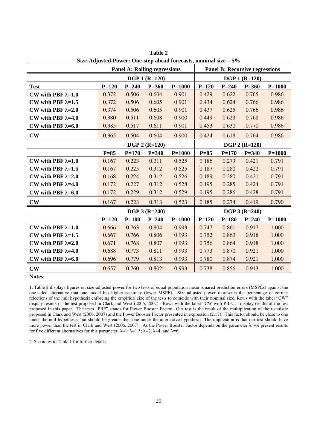|                           |                 |           | <b>Panel A: Rolling regressions</b> | $_{\rm DEC-110}$ and $_{\rm T00}$ over . One-step aneau forecasts, hominar size $-5$ /0 |           |                 | <b>Panel B: Recursive regressions</b> |            |
|---------------------------|-----------------|-----------|-------------------------------------|-----------------------------------------------------------------------------------------|-----------|-----------------|---------------------------------------|------------|
|                           |                 |           | <b>DGP 1 (R=120)</b>                |                                                                                         |           |                 | <b>DGP 1 (R=120)</b>                  |            |
| <b>Test</b>               | $P=120$         | $P = 240$ | $P = 360$                           | $P = 1000$                                                                              | $P = 120$ | $P = 240$       | $P = 360$                             | $P = 1000$ |
| CW with PBF $\lambda=1.0$ | 0.372           | 0.506     | 0.604                               | 0.901                                                                                   | 0.429     | 0.622           | 0.765                                 | 0.986      |
| CW with PBF $\lambda=1.5$ | 0.372           | 0.506     | 0.605                               | 0.901                                                                                   | 0.434     | 0.624           | 0.766                                 | 0.986      |
| CW with PBF $\lambda=2.0$ | 0.374           | 0.506     | 0.605                               | 0.901                                                                                   | 0.437     | 0.625           | 0.766                                 | 0.986      |
| CW with PBF $\lambda=4.0$ | 0.380           | 0.511     | 0.608                               | 0.900                                                                                   | 0.449     | 0.628           | 0.768                                 | 0.986      |
| CW with PBF $\lambda=6.0$ | 0.385           | 0.517     | 0.611                               | 0.901                                                                                   | 0.453     | 0.630           | 0.770                                 | 0.986      |
| $\mathbf{CW}$             | 0.365           | 0.504     | 0.604                               | 0.900                                                                                   | 0.424     | 0.618           | 0.764                                 | 0.986      |
|                           | $DGP 2 (R=120)$ |           |                                     |                                                                                         |           | $DGP 2 (R=120)$ |                                       |            |
|                           | $P=85$          | $P = 170$ | $P = 340$                           | $P = 1000$                                                                              | $P=85$    | $P = 170$       | $P = 340$                             | $P = 1000$ |
| CW with PBF $\lambda=1.0$ | 0.167           | 0.223     | 0.311                               | 0.525                                                                                   | 0.186     | 0.279           | 0.421                                 | 0.791      |
| CW with PBF $\lambda=1.5$ | 0.167           | 0.225     | 0.312                               | 0.525                                                                                   | 0.187     | 0.280           | 0.422                                 | 0.791      |
| CW with PBF $\lambda=2.0$ | 0.168           | 0.224     | 0.312                               | 0.526                                                                                   | 0.189     | 0.280           | 0.421                                 | 0.791      |
| CW with PBF $\lambda=4.0$ | 0.172           | 0.227     | 0.312                               | 0.528                                                                                   | 0.195     | 0.285           | 0.424                                 | 0.791      |
| CW with PBF $\lambda=6.0$ | 0.172           | 0.229     | 0.312                               | 0.529                                                                                   | 0.195     | 0.286           | 0.428                                 | 0.791      |
| $\mathbf{CW}$             | 0.167           | 0.223     | 0.313                               | 0.523                                                                                   | 0.185     | 0.274           | 0.419                                 | 0.790      |
|                           |                 |           | <b>DGP 3 (R=240)</b>                |                                                                                         |           |                 | <b>DGP 3 (R=240)</b>                  |            |
|                           | $P=120$         | $P = 180$ | $P = 240$                           | $P = 1000$                                                                              | $P = 120$ | $P = 180$       | $P = 240$                             | $P = 1000$ |
| CW with PBF $\lambda=1.0$ | 0.666           | 0.763     | 0.804                               | 0.993                                                                                   | 0.747     | 0.861           | 0.917                                 | 1.000      |
| CW with PBF $\lambda=1.5$ | 0.667           | 0.766     | 0.806                               | 0.993                                                                                   | 0.752     | 0.863           | 0.918                                 | 1.000      |
| CW with PBF $\lambda=2.0$ | 0.671           | 0.768     | 0.807                               | 0.993                                                                                   | 0.756     | 0.864           | 0.918                                 | 1.000      |
| CW with PBF $\lambda=4.0$ | 0.688           | 0.773     | 0.811                               | 0.993                                                                                   | 0.773     | 0.870           | 0.921                                 | 1.000      |
| CW with PBF $\lambda=6.0$ | 0.696           | 0.779     | 0.813                               | 0.993                                                                                   | 0.780     | 0.874           | 0.921                                 | 1.000      |
| $\mathbf{CW}$             | 0.657           | 0.760     | 0.802                               | 0.993                                                                                   | 0.738     | 0.856           | 0.913                                 | 1.000      |

**Table 2 Size-Adjusted-Power: One-step ahead forecasts, nominal size = 5%** 

1. Table 2 displays figures on size-adjusted-power for two tests of equal population mean squared prediction errors (MSPEs) against the one-sided alternative that one model has higher accuracy (lower MSPE). Size-adjusted-power represents the percentage of correct rejections of the null hypothesis enforcing the empirical size of the tests to coincide with their nominal size. Rows with the label "CW" display results of the test proposed in Clark and West (2006, 2007). Rows with the label "CW with PBF..." display results of the test proposed in this paper. The term "PBF" stands for Power Booster Factor. Our test is the result of the multiplication of the t-statistic proposed in Clark and West (2006, 2007) and the Power Booster Factor presented in expression (2.17). This factor should be close to one under the null hypothesis, but should be greater than one under the alternative hypothesis. The implication is that our test should have more power than the test in Clark and West (2006, 2007). As the Power Booster Factor depends on the parameter  $\lambda$ , we present results for five different alternatives for this parameter:  $\lambda=1$ ;  $\lambda=1.5$ ;  $\lambda=2$ ;  $\lambda=4$ ; and  $\lambda=6$ .

2. See notes to Table 1 for further details.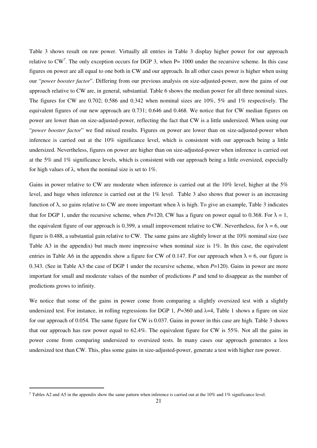Table 3 shows result on raw power. Virtually all entries in Table 3 display higher power for our approach relative to CW<sup>7</sup>. The only exception occurs for DGP 3, when  $P= 1000$  under the recursive scheme. In this case figures on power are all equal to one both in CW and our approach. In all other cases power is higher when using our "*power booster factor*". Differing from our previous analysis on size-adjusted-power, now the gains of our approach relative to CW are, in general, substantial. Table 6 shows the median power for all three nominal sizes. The figures for CW are 0.702; 0.586 and 0.342 when nominal sizes are 10%, 5% and 1% respectively. The equivalent figures of our new approach are 0.731; 0.646 and 0.468. We notice that for CW median figures on power are lower than on size-adjusted-power, reflecting the fact that CW is a little undersized. When using our "*power booster factor*" we find mixed results. Figures on power are lower than on size-adjusted-power when inference is carried out at the 10% significance level, which is consistent with our approach being a little undersized. Nevertheless, figures on power are higher than on size-adjusted-power when inference is carried out at the 5% and 1% significance levels, which is consistent with our approach being a little oversized, especially for high values of λ, when the nominal size is set to 1%.

Gains in power relative to CW are moderate when inference is carried out at the 10% level, higher at the 5% level, and huge when inference is carried out at the 1% level. Table 3 also shows that power is an increasing function of λ, so gains relative to CW are more important when λ is high. To give an example, Table 3 indicates that for DGP 1, under the recursive scheme, when  $P=120$ , CW has a figure on power equal to 0.368. For  $\lambda = 1$ , the equivalent figure of our approach is 0.399, a small improvement relative to CW. Nevertheless, for  $\lambda = 6$ , our figure is 0.488, a substantial gain relative to CW. The same gains are slightly lower at the 10% nominal size (see Table A3 in the appendix) but much more impressive when nominal size is 1%. In this case, the equivalent entries in Table A6 in the appendix show a figure for CW of 0.147. For our approach when  $\lambda = 6$ , our figure is 0.343. (See in Table A3 the case of DGP 1 under the recursive scheme, when *P*=120). Gains in power are more important for small and moderate values of the number of predictions *P* and tend to disappear as the number of predictions grows to infinity.

We notice that some of the gains in power come from comparing a slightly oversized test with a slightly undersized test. For instance, in rolling regressions for DGP 1,  $P=360$  and  $\lambda=4$ , Table 1 shows a figure on size for our approach of 0.054*.* The same figure for CW is 0.037. Gains in power in this case are high. Table 3 shows that our approach has raw power equal to 62.4%. The equivalent figure for CW is 55%*.* Not all the gains in power come from comparing undersized to oversized tests. In many cases our approach generates a less undersized test than CW. This, plus some gains in size-adjusted-power, generate a test with higher raw power.

-

<sup>&</sup>lt;sup>7</sup> Tables A2 and A5 in the appendix show the same pattern when inference is carried out at the  $10\%$  and  $1\%$  significance level.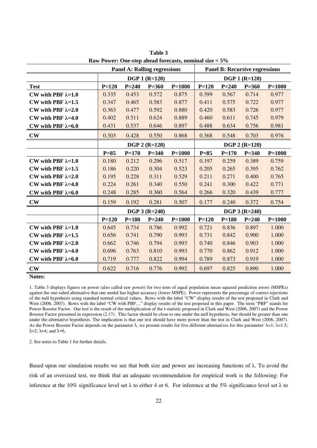|                           | <b>Panel A: Rolling regressions</b> |           |                      |            | <b>Panel B: Recursive regressions</b> |           |                      |            |
|---------------------------|-------------------------------------|-----------|----------------------|------------|---------------------------------------|-----------|----------------------|------------|
|                           |                                     |           | <b>DGP 1 (R=120)</b> |            |                                       |           | <b>DGP 1 (R=120)</b> |            |
| <b>Test</b>               | $P = 120$                           | $P = 240$ | $P = 360$            | $P = 1000$ | $P = 120$                             | $P = 240$ | $P = 360$            | $P = 1000$ |
| CW with PBF $\lambda=1.0$ | 0.335                               | 0.453     | 0.572                | 0.875      | 0.399                                 | 0.567     | 0.714                | 0.977      |
| CW with PBF $\lambda=1.5$ | 0.347                               | 0.465     | 0.583                | 0.877      | 0.411                                 | 0.575     | 0.722                | 0.977      |
| CW with PBF $\lambda=2.0$ | 0.363                               | 0.477     | 0.592                | 0.880      | 0.420                                 | 0.583     | 0.726                | 0.977      |
| CW with PBF $\lambda=4.0$ | 0.402                               | 0.511     | 0.624                | 0.889      | 0.460                                 | 0.611     | 0.745                | 0.979      |
| CW with PBF $\lambda=6.0$ | 0.431                               | 0.537     | 0.646                | 0.897      | 0.488                                 | 0.634     | 0.756                | 0.981      |
| $\mathbf{CW}$             | 0.303                               | 0.428     | 0.550                | 0.868      | 0.368                                 | 0.548     | 0.703                | 0.976      |
|                           |                                     |           | <b>DGP 2 (R=120)</b> |            |                                       |           | $DGP 2 (R=120)$      |            |
|                           | $P=85$                              | $P = 170$ | $P = 340$            | $P = 1000$ | $P=85$                                | $P = 170$ | $P = 340$            | $P = 1000$ |
| CW with PBF $\lambda=1.0$ | 0.180                               | 0.212     | 0.296                | 0.517      | 0.197                                 | 0.259     | 0.389                | 0.759      |
| CW with PBF $\lambda=1.5$ | 0.186                               | 0.220     | 0.304                | 0.523      | 0.205                                 | 0.265     | 0.395                | 0.762      |
| CW with PBF $\lambda=2.0$ | 0.195                               | 0.228     | 0.311                | 0.529      | 0.211                                 | 0.271     | 0.400                | 0.765      |
| CW with PBF $\lambda=4.0$ | 0.224                               | 0.261     | 0.340                | 0.550      | 0.241                                 | 0.300     | 0.422                | 0.771      |
| CW with PBF $\lambda=6.0$ | 0.248                               | 0.285     | 0.360                | 0.564      | 0.266                                 | 0.320     | 0.439                | 0.777      |
| $\mathbf{CW}$             | 0.159                               | 0.192     | 0.281                | 0.507      | 0.177                                 | 0.240     | 0.372                | 0.754      |
|                           |                                     |           | <b>DGP 3 (R=240)</b> |            |                                       |           | <b>DGP 3 (R=240)</b> |            |
|                           | $P = 120$                           | $P = 180$ | $P = 240$            | $P = 1000$ | $P = 120$                             | $P = 180$ | $P = 240$            | $P = 1000$ |
| CW with PBF $\lambda=1.0$ | 0.645                               | 0.734     | 0.786                | 0.992      | 0.721                                 | 0.836     | 0.897                | 1.000      |
| CW with PBF $\lambda=1.5$ | 0.656                               | 0.741     | 0.790                | 0.993      | 0.731                                 | 0.842     | 0.900                | 1.000      |
| CW with PBF $\lambda=2.0$ | 0.662                               | 0.746     | 0.794                | 0.993      | 0.740                                 | 0.846     | 0.903                | 1.000      |
| CW with PBF $\lambda=4.0$ | 0.696                               | 0.763     | 0.810                | 0.993      | 0.770                                 | 0.862     | 0.912                | 1.000      |
| CW with PBF $\lambda=6.0$ | 0.719                               | 0.777     | 0.822                | 0.994      | 0.789                                 | 0.873     | 0.919                | 1.000      |
| $\mathbf{CW}$             | 0.622                               | 0.716     | 0.776                | 0.992      | 0.697                                 | 0.825     | 0.890                | 1.000      |

**Table 3 Raw Power: One-step ahead forecasts, nominal size = 5%** 

1. Table 3 displays figures on power (also called raw power) for two tests of equal population mean squared prediction errors (MSPEs) against the one-sided alternative that one model has higher accuracy (lower MSPE). Power represents the percentage of correct rejections of the null hypothesis using standard normal critical values. Rows with the label "CW" display results of the test proposed in Clark and West (2006, 2007). Rows with the label "CW with PBF..." display results of the test proposed in this paper. The term "PBF" stands for Power Booster Factor. Our test is the result of the multiplication of the t-statistic proposed in Clark and West (2006, 2007) and the Power Booster Factor presented in expression (2.17). This factor should be close to one under the null hypothesis, but should be greater than one under the alternative hypothesis. The implication is that our test should have more power than the test in Clark and West (2006, 2007). As the Power Booster Factor depends on the parameter  $\lambda$ , we present results for five different alternatives for this parameter:  $\lambda=1$ ;  $\lambda=1.5$ ;  $\lambda=2$ ;  $\lambda=4$ ; and  $\lambda=6$ .

2. See notes to Table 1 for further details.

Based upon our simulation results we see that both size and power are increasing functions of  $\lambda$ . To avoid the risk of an oversized test, we think that an adequate recommendation for empirical work is the following: For inference at the 10% significance level set  $\lambda$  to either 4 or 6. For inference at the 5% significance level set  $\lambda$  to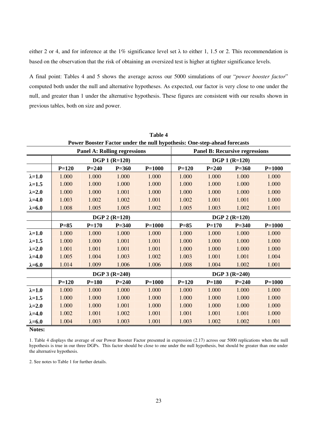either 2 or 4, and for inference at the 1% significance level set  $\lambda$  to either 1, 1.5 or 2. This recommendation is based on the observation that the risk of obtaining an oversized test is higher at tighter significance levels.

A final point: Tables 4 and 5 shows the average across our 5000 simulations of our "*power booster factor*" computed both under the null and alternative hypotheses. As expected, our factor is very close to one under the null, and greater than 1 under the alternative hypothesis. These figures are consistent with our results shown in previous tables, both on size and power.

|                 | Table 4                             |           |                      |                                                                          |                      |                                       |                 |            |  |
|-----------------|-------------------------------------|-----------|----------------------|--------------------------------------------------------------------------|----------------------|---------------------------------------|-----------------|------------|--|
|                 |                                     |           |                      | Power Booster Factor under the null hypothesis: One-step-ahead forecasts |                      |                                       |                 |            |  |
|                 | <b>Panel A: Rolling regressions</b> |           |                      |                                                                          |                      | <b>Panel B: Recursive regressions</b> |                 |            |  |
|                 |                                     |           | <b>DGP 1 (R=120)</b> |                                                                          |                      | <b>DGP 1 (R=120)</b>                  |                 |            |  |
|                 | $P = 120$                           | $P = 240$ | $P = 360$            | $P=1000$                                                                 | $P = 120$            | $P = 240$                             | $P = 360$       | $P = 1000$ |  |
| $\lambda = 1.0$ | 1.000                               | 1.000     | 1.000                | 1.000                                                                    | 1.000                | 1.000                                 | 1.000           | 1.000      |  |
| $\lambda = 1.5$ | 1.000                               | 1.000     | 1.000                | 1.000                                                                    | 1.000                | 1.000                                 | 1.000           | 1.000      |  |
| $\lambda = 2.0$ | 1.000                               | 1.000     | 1.001                | 1.000                                                                    | 1.000                | 1.000                                 | 1.000           | 1.000      |  |
| $\lambda = 4.0$ | 1.003                               | 1.002     | 1.002                | 1.001                                                                    | 1.002                | 1.001                                 | 1.001           | 1.000      |  |
| $\lambda = 6.0$ | 1.008                               | 1.005     | 1.005                | 1.002                                                                    | 1.005                | 1.003                                 | 1.002           | 1.001      |  |
|                 |                                     |           | <b>DGP 2 (R=120)</b> |                                                                          | <b>DGP 2 (R=120)</b> |                                       |                 |            |  |
|                 | $P=85$                              | $P = 170$ | $P = 340$            | $P=1000$                                                                 | $P=85$               | $P = 170$                             | $P = 340$       | $P=1000$   |  |
| $\lambda = 1.0$ | 1.000                               | 1.000     | 1.000                | 1.000                                                                    | 1.000                | 1.000                                 | 1.000           | 1.000      |  |
| $\lambda = 1.5$ | 1.000                               | 1.000     | 1.001                | 1.001                                                                    | 1.000                | 1.000                                 | 1.000           | 1.000      |  |
| $\lambda = 2.0$ | 1.001                               | 1.001     | 1.001                | 1.001                                                                    | 1.000                | 1.000                                 | 1.000           | 1.000      |  |
| $\lambda = 4.0$ | 1.005                               | 1.004     | 1.003                | 1.002                                                                    | 1.003                | 1.001                                 | 1.001           | 1.004      |  |
| $\lambda = 6.0$ | 1.014                               | 1.009     | 1.006                | 1.006                                                                    | 1.008                | 1.004                                 | 1.002           | 1.001      |  |
|                 |                                     |           | $DGP 3 (R=240)$      |                                                                          |                      |                                       | $DGP 3 (R=240)$ |            |  |
|                 | $P = 120$                           | $P = 180$ | $P = 240$            | $P = 1000$                                                               | $P = 120$            | $P = 180$                             | $P = 240$       | $P = 1000$ |  |
| $\lambda = 1.0$ | 1.000                               | 1.000     | 1.000                | 1.000                                                                    | 1.000                | 1.000                                 | 1.000           | 1.000      |  |
| $\lambda = 1.5$ | 1.000                               | 1.000     | 1.000                | 1.000                                                                    | 1.000                | 1.000                                 | 1.000           | 1.000      |  |
| $\lambda = 2.0$ | 1.000                               | 1.000     | 1.001                | 1.000                                                                    | 1.000                | 1.000                                 | 1.000           | 1.000      |  |
| $\lambda = 4.0$ | 1.002                               | 1.001     | 1.002                | 1.001                                                                    | 1.001                | 1.001                                 | 1.001           | 1.000      |  |
| $\lambda = 6.0$ | 1.004                               | 1.003     | 1.003                | 1.001                                                                    | 1.003                | 1.002                                 | 1.002           | 1.001      |  |
| <b>RT</b> - 4   |                                     |           |                      |                                                                          |                      |                                       |                 |            |  |

**Notes:** 

1. Table 4 displays the average of our Power Booster Factor presented in expression (2.17) across our 5000 replications when the null hypothesis is true in our three DGPs. This factor should be close to one under the null hypothesis, but should be greater than one under the alternative hypothesis.

2. See notes to Table 1 for further details.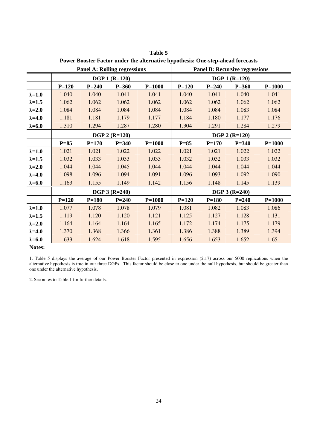|                 |                      |           |                                     |            | I OWEL DOOSTEL PACTOL UNUEL THE AITELHALIVE HYPOTHESIS. OTHE-STEP-AITEAU TOLECASTS |           |                                       |            |
|-----------------|----------------------|-----------|-------------------------------------|------------|------------------------------------------------------------------------------------|-----------|---------------------------------------|------------|
|                 |                      |           | <b>Panel A: Rolling regressions</b> |            |                                                                                    |           | <b>Panel B: Recursive regressions</b> |            |
|                 |                      |           | <b>DGP 1 (R=120)</b>                |            | <b>DGP 1 (R=120)</b>                                                               |           |                                       |            |
|                 | $P = 120$            | $P = 240$ | $P = 360$                           | $P = 1000$ | $P=120$                                                                            | $P = 240$ | $P = 360$                             | $P=1000$   |
| $\lambda = 1.0$ | 1.040                | 1.040     | 1.041                               | 1.041      | 1.040                                                                              | 1.041     | 1.040                                 | 1.041      |
| $\lambda = 1.5$ | 1.062                | 1.062     | 1.062                               | 1.062      | 1.062                                                                              | 1.062     | 1.062                                 | 1.062      |
| $\lambda = 2.0$ | 1.084                | 1.084     | 1.084                               | 1.084      | 1.084                                                                              | 1.084     | 1.083                                 | 1.084      |
| $\lambda = 4.0$ | 1.181                | 1.181     | 1.179                               | 1.177      | 1.184                                                                              | 1.180     | 1.177                                 | 1.176      |
| $\lambda = 6.0$ | 1.310                | 1.294     | 1.287                               | 1.280      | 1.304                                                                              | 1.291     | 1.284                                 | 1.279      |
|                 | <b>DGP 2 (R=120)</b> |           |                                     |            |                                                                                    |           | <b>DGP 2 (R=120)</b>                  |            |
|                 | $P=85$               | $P = 170$ | $P = 340$                           | $P = 1000$ | $P=85$                                                                             | $P = 170$ | $P = 340$                             | $P = 1000$ |
| $\lambda = 1.0$ | 1.021                | 1.021     | 1.022                               | 1.022      | 1.021                                                                              | 1.021     | 1.022                                 | 1.022      |
| $\lambda = 1.5$ | 1.032                | 1.033     | 1.033                               | 1.033      | 1.032                                                                              | 1.032     | 1.033                                 | 1.032      |
| $\lambda = 2.0$ | 1.044                | 1.044     | 1.045                               | 1.044      | 1.044                                                                              | 1.044     | 1.044                                 | 1.044      |
| $\lambda = 4.0$ | 1.098                | 1.096     | 1.094                               | 1.091      | 1.096                                                                              | 1.093     | 1.092                                 | 1.090      |
| $\lambda = 6.0$ | 1.163                | 1.155     | 1.149                               | 1.142      | 1.156                                                                              | 1.148     | 1.145                                 | 1.139      |
|                 |                      |           | <b>DGP 3 (R=240)</b>                |            |                                                                                    |           | <b>DGP 3 (R=240)</b>                  |            |
|                 | $P = 120$            | $P = 180$ | $P = 240$                           | $P = 1000$ | $P = 120$                                                                          | $P = 180$ | $P = 240$                             | $P = 1000$ |
| $\lambda = 1.0$ | 1.077                | 1.078     | 1.078                               | 1.079      | 1.081                                                                              | 1.082     | 1.083                                 | 1.086      |
| $\lambda = 1.5$ | 1.119                | 1.120     | 1.120                               | 1.121      | 1.125                                                                              | 1.127     | 1.128                                 | 1.131      |
| $\lambda = 2.0$ | 1.164                | 1.164     | 1.164                               | 1.165      | 1.172                                                                              | 1.174     | 1.175                                 | 1.179      |
| $\lambda = 4.0$ | 1.370                | 1.368     | 1.366                               | 1.361      | 1.386                                                                              | 1.388     | 1.389                                 | 1.394      |
| $\lambda = 6.0$ | 1.633                | 1.624     | 1.618                               | 1.595      | 1.656                                                                              | 1.653     | 1.652                                 | 1.651      |

**Table 5 Power Booster Factor under the alternative hypothesis: One-step-ahead forecasts** 

1. Table 5 displays the average of our Power Booster Factor presented in expression (2.17) across our 5000 replications when the alternative hypothesis is true in our three DGPs. This factor should be close to one under the null hypothesis, but should be greater than one under the alternative hypothesis.

2. See notes to Table 1 for further details.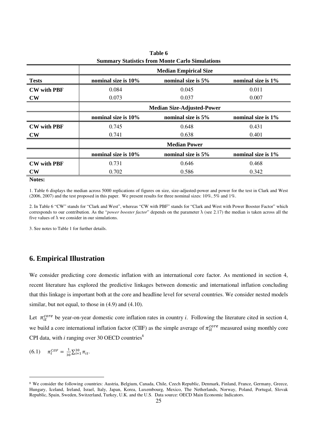|                        | <b>Summary Statistics from Monte Carlo Simulations</b> |                                          |                    |  |  |  |  |  |  |  |
|------------------------|--------------------------------------------------------|------------------------------------------|--------------------|--|--|--|--|--|--|--|
|                        |                                                        | <b>Median Empirical Size</b>             |                    |  |  |  |  |  |  |  |
| <b>Tests</b>           | nominal size is 10%                                    | nominal size is 5%                       | nominal size is 1% |  |  |  |  |  |  |  |
| <b>CW</b> with PBF     | 0.084                                                  | 0.045                                    | 0.011              |  |  |  |  |  |  |  |
| $\mathbf{C}\mathbf{W}$ | 0.073                                                  | 0.037                                    | 0.007              |  |  |  |  |  |  |  |
|                        |                                                        | <b>Median Size-Adjusted-Power</b>        |                    |  |  |  |  |  |  |  |
|                        | nominal size is 10%                                    | nominal size is 5%<br>nominal size is 1% |                    |  |  |  |  |  |  |  |
| <b>CW</b> with PBF     | 0.745                                                  | 0.648                                    | 0.431              |  |  |  |  |  |  |  |
| $\mathbf{CW}$          | 0.741                                                  | 0.638                                    | 0.401              |  |  |  |  |  |  |  |
|                        |                                                        | <b>Median Power</b>                      |                    |  |  |  |  |  |  |  |
|                        | nominal size is 10%                                    | nominal size is 5%                       | nominal size is 1% |  |  |  |  |  |  |  |
| <b>CW with PBF</b>     | 0.731                                                  | 0.646                                    | 0.468              |  |  |  |  |  |  |  |
| $\mathbf{C}\mathbf{W}$ | 0.702                                                  | 0.586                                    | 0.342              |  |  |  |  |  |  |  |

**Table 6** 

1. Table 6 displays the median across 5000 replications of figures on size, size-adjusted-power and power for the test in Clark and West (2006, 2007) and the test proposed in this paper. We present results for three nominal sizes: 10%, 5% and 1%.

2. In Table 6 "CW" stands for "Clark and West", whereas "CW with PBF" stands for "Clark and West with Power Booster Factor" which corresponds to our contribution. As the "*power booster factor*" depends on the parameter λ (see 2.17) the median is taken across all the five values of  $\lambda$  we consider in our simulations.

3. See notes to Table 1 for further details.

# **6. Empirical Illustration**

We consider predicting core domestic inflation with an international core factor. As mentioned in section 4, recent literature has explored the predictive linkages between domestic and international inflation concluding that this linkage is important both at the core and headline level for several countries. We consider nested models similar, but not equal, to those in  $(4.9)$  and  $(4.10)$ .

Let  $\pi_{it}^{core}$  be year-on-year domestic core inflation rates in country *i*. Following the literature cited in section 4, we build a core international inflation factor (CIIF) as the simple average of  $\pi_{it}^{core}$  measured using monthly core CPI data, with  $i$  ranging over 30 OECD countries<sup>8</sup>

(6.1) 
$$
\pi_t^{CIIF} = \frac{1}{30} \sum_{i=1}^{30} \pi_{it}.
$$

-

<sup>8</sup> We consider the following countries: Austria, Belgium, Canada, Chile, Czech Republic, Denmark, Finland, France, Germany, Greece, Hungary, Iceland, Ireland, Israel, Italy, Japan, Korea, Luxembourg, Mexico, The Netherlands, Norway, Poland, Portugal, Slovak Republic, Spain, Sweden, Switzerland, Turkey, U.K. and the U.S. Data source: OECD Main Economic Indicators.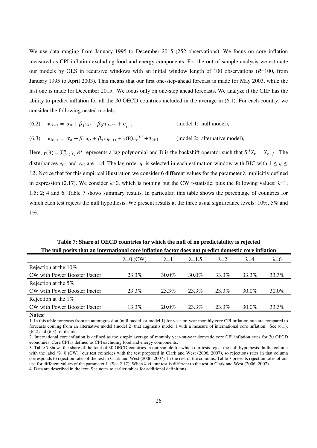We use data ranging from January 1995 to December 2015 (252 observations). We focus on core inflation measured as CPI inflation excluding food and energy components. For the out-of-sample analysis we estimate our models by OLS in recursive windows with an initial window length of 100 observations (*R*=100, from January 1995 to April 2003). This means that our first one-step-ahead forecast is made for May 2003, while the last one is made for December 2015. We focus only on one-step ahead forecasts. We analyze if the CIIF has the ability to predict inflation for all the *30* OECD countries included in the average in (6.1). For each country, we consider the following nested models:

(6.2) 
$$
\pi_{it+1} = \alpha_{\pi} + \beta_1 \pi_{it} + \beta_2 \pi_{it-11} + e_{t+1}
$$
 (model 1: null model),

(6.3)  $\pi_{it+1} = \alpha_{\pi} + \beta_1 \pi_{it} + \beta_2 \pi_{it-11} + \gamma(B) \pi_t^C$ (model 2: alternative model),

Here,  $\gamma(B) = \sum_{j=0}^{q} \gamma_j B^j$  represents a lag polynomial and B is the backshift operator such that  $B^j X_t = X_{t-j}$ . The disturbances  $e_{t+1}$  and  $v_{t+1}$  are i.i.d. The lag order q is selected in each estimation window with BIC with  $1 \le q \le$ 12. Notice that for this empirical illustration we consider 6 different values for the parameter  $\lambda$  implicitly defined in expression (2.17). We consider  $\lambda=0$ , which is nothing but the CW t-statistic, plus the following values:  $\lambda=1$ ; 1.5; 2; 4 and 6. Table 7 shows summary results. In particular, this table shows the percentage of countries for which each test rejects the null hypothesis. We present results at the three usual significance levels: 10%, 5% and 1%.

**Table 7: Share of OECD countries for which the null of no predictability is rejected The null posits that an international core inflation factor does not predict domestic core inflation** 

|                              | $\lambda=0$ (CW) | $\lambda = 1$ | $\lambda = 1.5$ | $\lambda = 2$ | $\lambda = 4$ | $\lambda = 6$ |  |
|------------------------------|------------------|---------------|-----------------|---------------|---------------|---------------|--|
| Rejection at the 10%         |                  |               |                 |               |               |               |  |
| CW with Power Booster Factor | 23.3%            | $30.0\%$      | 30.0%           | 33.3%         | 33.3%         | 33.3%         |  |
| Rejection at the 5%          |                  |               |                 |               |               |               |  |
| CW with Power Booster Factor | 23.3%            | 23.3%         | 23.3%           | 23.3%         | 30.0%         | 30.0%         |  |
| Rejection at the $1\%$       |                  |               |                 |               |               |               |  |
| CW with Power Booster Factor | 13.3%            | $20.0\%$      | 23.3%           | 23.3%         | 30.0%         | 33.3%         |  |

#### **Notes:**

1. In this table forecasts from an autoregression (null model, or model 1) for year-on-year monthly core CPI inflation rate are compared to forecasts coming from an alternative model (model 2) that augments model 1 with a measure of international core inflation. See (6.1), (6.2) and (6.3) for details.

2. International core inflation is defined as the simple average of monthly year-on-year domestic core CPI inflation rates for 30 OECD economies. Core CPI is defined as CPI excluding food and energy components.

3. Table 7 shows the share of the total of 30 OECD countries in our sample for which our tests reject the null hypothesis. In the column with the label "λ=0 (CW)" our test coincides with the test proposed in Clark and West (2006, 2007), so rejections rates in that column corresponds to rejection rates of the test in Clark and West (2006, 2007). In the rest of the columns, Table 7 presents rejection rates of our test for different values of the parameter λ. (See 2.17). When  $\lambda$  >0 our test is different to the test in Clark and West (2006, 2007). 4. Data are described in the text. See notes to earlier tables for additional definitions.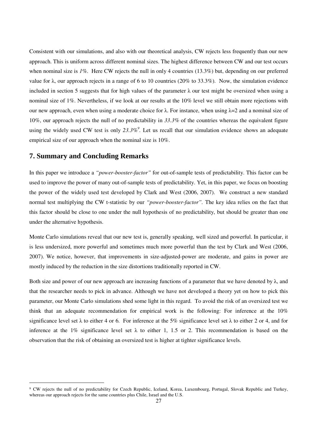Consistent with our simulations, and also with our theoretical analysis, CW rejects less frequently than our new approach. This is uniform across different nominal sizes. The highest difference between CW and our test occurs when nominal size is 1%. Here CW rejects the null in only 4 countries (13.3%) but, depending on our preferred value for λ, our approach rejects in a range of 6 to 10 countries (20% to 33.3%). Now, the simulation evidence included in section 5 suggests that for high values of the parameter  $\lambda$  our test might be oversized when using a nominal size of 1%. Nevertheless, if we look at our results at the 10% level we still obtain more rejections with our new approach, even when using a moderate choice for  $\lambda$ . For instance, when using  $\lambda = 2$  and a nominal size of 10%, our approach rejects the null of no predictability in *33.3%* of the countries whereas the equivalent figure using the widely used CW test is only 23.3%<sup>9</sup>. Let us recall that our simulation evidence shows an adequate empirical size of our approach when the nominal size is 10%.

# **7. Summary and Concluding Remarks**

-

In this paper we introduce a *"power-booster-factor"* for out-of-sample tests of predictability. This factor can be used to improve the power of many out-of-sample tests of predictability. Yet, in this paper, we focus on boosting the power of the widely used test developed by Clark and West (2006, 2007). We construct a new standard normal test multiplying the CW t-statistic by our *"power-booster-factor".* The key idea relies on the fact that this factor should be close to one under the null hypothesis of no predictability, but should be greater than one under the alternative hypothesis.

Monte Carlo simulations reveal that our new test is, generally speaking, well sized and powerful. In particular, it is less undersized, more powerful and sometimes much more powerful than the test by Clark and West (2006, 2007). We notice, however, that improvements in size-adjusted-power are moderate, and gains in power are mostly induced by the reduction in the size distortions traditionally reported in CW.

Both size and power of our new approach are increasing functions of a parameter that we have denoted by  $\lambda$ , and that the researcher needs to pick in advance. Although we have not developed a theory yet on how to pick this parameter, our Monte Carlo simulations shed some light in this regard. To avoid the risk of an oversized test we think that an adequate recommendation for empirical work is the following: For inference at the 10% significance level set  $\lambda$  to either 4 or 6. For inference at the 5% significance level set  $\lambda$  to either 2 or 4, and for inference at the 1% significance level set  $\lambda$  to either 1, 1.5 or 2. This recommendation is based on the observation that the risk of obtaining an oversized test is higher at tighter significance levels.

<sup>9</sup> CW rejects the null of no predictability for Czech Republic, Iceland, Korea, Luxembourg, Portugal, Slovak Republic and Turkey, whereas our approach rejects for the same countries plus Chile, Israel and the U.S.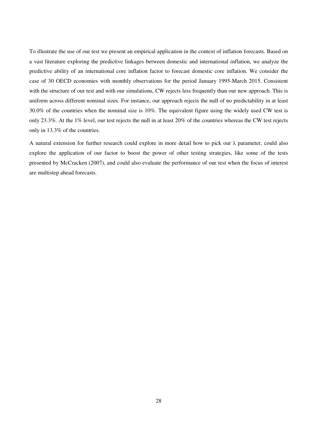To illustrate the use of our test we present an empirical application in the context of inflation forecasts. Based on a vast literature exploring the predictive linkages between domestic and international inflation, we analyze the predictive ability of an international core inflation factor to forecast domestic core inflation. We consider the case of 30 OECD economies with monthly observations for the period January 1995-March 2015. Consistent with the structure of our test and with our simulations, CW rejects less frequently than our new approach. This is uniform across different nominal sizes. For instance, our approach rejects the null of no predictability in at least 30.0% of the countries when the nominal size is 10%. The equivalent figure using the widely used CW test is only 23.3%*.* At the 1% level, our test rejects the null in at least 20% of the countries whereas the CW test rejects only in 13.3% of the countries.

A natural extension for further research could explore in more detail how to pick our λ parameter, could also explore the application of our factor to boost the power of other testing strategies, like some of the tests presented by McCracken (2007), and could also evaluate the performance of our test when the focus of interest are multistep ahead forecasts.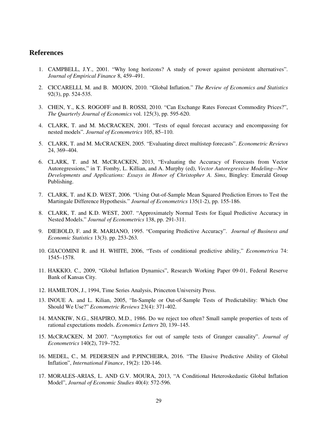# **References**

- 1. CAMPBELL, J.Y., 2001. "Why long horizons? A study of power against persistent alternatives". *Journal of Empirical Finance* 8, 459–491.
- 2. CICCARELLI, M. and B. MOJON, 2010. "Global Inflation." *The Review of Economics and Statistics* 92(3), pp. 524-535.
- 3. CHEN, Y., K.S. ROGOFF and B. ROSSI, 2010. "Can Exchange Rates Forecast Commodity Prices?", *The Quarterly Journal of Economics* vol. 125(3), pp. 595-620.
- 4. CLARK, T. and M. McCRACKEN, 2001. "Tests of equal forecast accuracy and encompassing for nested models". *Journal of Econometrics* 105, 85–110.
- 5. CLARK, T. and M. McCRACKEN, 2005. "Evaluating direct multistep forecasts". *Econometric Reviews* 24, 369–404.
- 6. CLARK, T. and M. McCRACKEN, 2013, "Evaluating the Accuracy of Forecasts from Vector Autoregressions," in T. Fomby, L. Killian, and A. Murphy (ed), *Vector Autoregressive Modeling—New Developments and Applications: Essays in Honor of Christopher A. Sims*, Bingley: Emerald Group Publishing.
- 7. CLARK, T. and K.D. WEST, 2006. "Using Out-of-Sample Mean Squared Prediction Errors to Test the Martingale Difference Hypothesis." *Journal of Econometrics* 135(1-2), pp. 155-186.
- 8. CLARK, T. and K.D. WEST, 2007. "Approximately Normal Tests for Equal Predictive Accuracy in Nested Models." *Journal of Econometrics* 138, pp. 291-311.
- 9. DIEBOLD, F. and R. MARIANO, 1995. "Comparing Predictive Accuracy". *Journal of Business and Economic Statistics* 13(3). pp. 253-263.
- 10. GIACOMINI R. and H. WHITE, 2006, "Tests of conditional predictive ability," *Econometrica* 74: 1545–1578.
- 11. HAKKIO, C., 2009, "Global Inflation Dynamics", Research Working Paper 09-01, Federal Reserve Bank of Kansas City.
- 12. HAMILTON, J., 1994, Time Series Analysis, Princeton University Press.
- 13. INOUE A. and L. Kilian, 2005, "In-Sample or Out-of-Sample Tests of Predictability: Which One Should We Use?" *Econometric Reviews* 23(4): 371-402.
- 14. MANKIW, N.G., SHAPIRO, M.D., 1986. Do we reject too often? Small sample properties of tests of rational expectations models. *Economics Letters* 20, 139–145.
- 15. McCRACKEN, M 2007. "Asymptotics for out of sample tests of Granger causality". *Journal of Econometrics* 140(2), 719–752.
- 16. MEDEL, C., M. PEDERSEN and P.PINCHEIRA, 2016. "The Elusive Predictive Ability of Global Inflation", *International Finance*, 19(2): 120-146.
- 17. MORALES-ARIAS, L. AND G.V. MOURA, 2013, "A Conditional Heteroskedastic Global Inflation Model", *Journal of Economic Studies* 40(4): 572-596.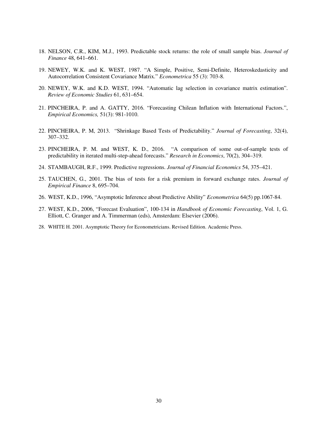- 18. NELSON, C.R., KIM, M.J., 1993. Predictable stock returns: the role of small sample bias. *Journal of Finance* 48, 641–661.
- 19. NEWEY, W.K. and K. WEST, 1987. "A Simple, Positive, Semi-Definite, Heteroskedasticity and Autocorrelation Consistent Covariance Matrix." *Econometrica* 55 (3): 703-8.
- 20. NEWEY, W.K. and K.D. WEST, 1994. "Automatic lag selection in covariance matrix estimation". *Review of Economic Studies* 61, 631–654.
- 21. PINCHEIRA, P. and A. GATTY, 2016. "Forecasting Chilean Inflation with International Factors.", *Empirical Economics,* 51(3): 981-1010.
- 22. PINCHEIRA, P. M, 2013. "Shrinkage Based Tests of Predictability." *Journal of Forecasting*, 32(4), 307–332.
- 23. PINCHEIRA, P. M. and WEST, K. D., 2016. "A comparison of some out-of-sample tests of predictability in iterated multi-step-ahead forecasts." *Research in Economics*, 70(2), 304–319.
- 24. STAMBAUGH, R.F., 1999. Predictive regressions. *Journal of Financial Economics* 54, 375–421.
- 25. TAUCHEN, G., 2001. The bias of tests for a risk premium in forward exchange rates. *Journal of Empirical Finance* 8, 695–704.
- 26. WEST, K.D., 1996, "Asymptotic Inference about Predictive Ability" *Econometrica* 64(5) pp.1067-84.
- 27. WEST, K.D., 2006, "Forecast Evaluation", 100-134 in *Handbook of Economic Forecasting*, Vol. 1, G. Elliott, C. Granger and A. Timmerman (eds), Amsterdam: Elsevier (2006).
- 28. WHITE H. 2001. Asymptotic Theory for Econometricians. Revised Edition. Academic Press.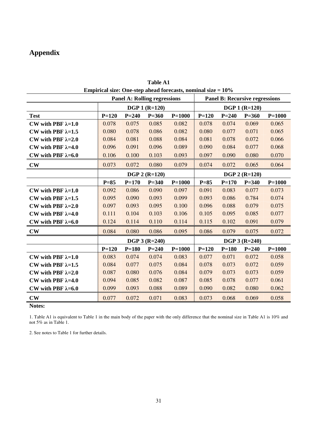# **Appendix**

| Empirical size. One-step aneau forecasts, nominal size – 1070<br><b>Panel A: Rolling regressions</b><br><b>Panel B: Recursive regressions</b> |                 |           |                      |            |           |                 |                      |            |
|-----------------------------------------------------------------------------------------------------------------------------------------------|-----------------|-----------|----------------------|------------|-----------|-----------------|----------------------|------------|
|                                                                                                                                               |                 |           |                      |            |           |                 |                      |            |
|                                                                                                                                               |                 |           | <b>DGP 1 (R=120)</b> |            |           |                 | <b>DGP 1 (R=120)</b> |            |
| <b>Test</b>                                                                                                                                   | $P = 120$       | $P = 240$ | $P = 360$            | $P = 1000$ | $P = 120$ | $P = 240$       | $P = 360$            | $P = 1000$ |
| CW with PBF $\lambda=1.0$                                                                                                                     | 0.078           | 0.075     | 0.085                | 0.082      | 0.078     | 0.074           | 0.069                | 0.065      |
| CW with PBF $\lambda=1.5$                                                                                                                     | 0.080           | 0.078     | 0.086                | 0.082      | 0.080     | 0.077           | 0.071                | 0.065      |
| CW with PBF $\lambda=2.0$                                                                                                                     | 0.084           | 0.081     | 0.088                | 0.084      | 0.081     | 0.078           | 0.072                | 0.066      |
| CW with PBF $\lambda=4.0$                                                                                                                     | 0.096           | 0.091     | 0.096                | 0.089      | 0.090     | 0.084           | 0.077                | 0.068      |
| CW with PBF $\lambda=6.0$                                                                                                                     | 0.106           | 0.100     | 0.103                | 0.093      | 0.097     | 0.090           | 0.080                | 0.070      |
| $\mathbf{CW}$                                                                                                                                 | 0.073           | 0.072     | 0.080                | 0.079      | 0.074     | 0.072           | 0.065                | 0.064      |
|                                                                                                                                               | $DGP 2 (R=120)$ |           |                      |            |           | $DGP 2 (R=120)$ |                      |            |
|                                                                                                                                               | $P=85$          | $P = 170$ | $P = 340$            | $P = 1000$ | $P=85$    | $P = 170$       | $P = 340$            | $P = 1000$ |
| CW with PBF $\lambda=1.0$                                                                                                                     | 0.092           | 0.086     | 0.090                | 0.097      | 0.091     | 0.083           | 0.077                | 0.073      |
| CW with PBF $\lambda=1.5$                                                                                                                     | 0.095           | 0.090     | 0.093                | 0.099      | 0.093     | 0.086           | 0.784                | 0.074      |
| CW with PBF $\lambda=2.0$                                                                                                                     | 0.097           | 0.093     | 0.095                | 0.100      | 0.096     | 0.088           | 0.079                | 0.075      |
| CW with PBF $\lambda=4.0$                                                                                                                     | 0.111           | 0.104     | 0.103                | 0.106      | 0.105     | 0.095           | 0.085                | 0.077      |
| CW with PBF $\lambda=6.0$                                                                                                                     | 0.124           | 0.114     | 0.110                | 0.114      | 0.115     | 0.102           | 0.091                | 0.079      |
| $\mathbf{CW}$                                                                                                                                 | 0.084           | 0.080     | 0.086                | 0.095      | 0.086     | 0.079           | 0.075                | 0.072      |
|                                                                                                                                               |                 |           | $DGP 3 (R=240)$      |            |           |                 | $DGP 3 (R=240)$      |            |
|                                                                                                                                               | $P = 120$       | $P = 180$ | $P = 240$            | $P = 1000$ | $P = 120$ | $P = 180$       | $P = 240$            | $P=1000$   |
| CW with PBF $\lambda=1.0$                                                                                                                     | 0.083           | 0.074     | 0.074                | 0.083      | 0.077     | 0.071           | 0.072                | 0.058      |
| CW with PBF $\lambda=1.5$                                                                                                                     | 0.084           | 0.077     | 0.075                | 0.084      | 0.078     | 0.073           | 0.072                | 0.059      |
| CW with PBF $\lambda=2.0$                                                                                                                     | 0.087           | 0.080     | 0.076                | 0.084      | 0.079     | 0.073           | 0.073                | 0.059      |
| CW with PBF $\lambda=4.0$                                                                                                                     | 0.094           | 0.085     | 0.082                | 0.087      | 0.085     | 0.078           | 0.077                | 0.061      |
| CW with PBF $\lambda=6.0$                                                                                                                     | 0.099           | 0.093     | 0.088                | 0.089      | 0.090     | 0.082           | 0.080                | 0.062      |
| $\mathbf{CW}$                                                                                                                                 | 0.077           | 0.072     | 0.071                | 0.083      | 0.073     | 0.068           | 0.069                | 0.058      |

| Empirical size: One-step ahead forecasts, nominal size $= 10\%$ | <b>Table A1</b> |  |
|-----------------------------------------------------------------|-----------------|--|
|                                                                 |                 |  |

**Notes:** 

1. Table A1 is equivalent to Table 1 in the main body of the paper with the only difference that the nominal size in Table A1 is 10% and not 5% as in Table 1.

2. See notes to Table 1 for further details.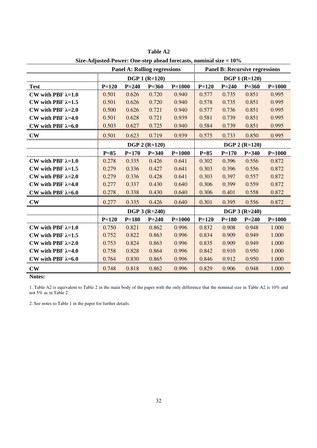|                           | <b>Panel A: Rolling regressions</b> |           |                      |            | <b>Panel B: Recursive regressions</b> |           |                      |            |
|---------------------------|-------------------------------------|-----------|----------------------|------------|---------------------------------------|-----------|----------------------|------------|
|                           | $DGP 1 (R=120)$                     |           |                      |            | <b>DGP 1 (R=120)</b>                  |           |                      |            |
| <b>Test</b>               | $P = 120$                           | $P = 240$ | $P = 360$            | $P = 1000$ | $P = 120$                             | $P = 240$ | $P = 360$            | $P = 1000$ |
| CW with PBF $\lambda=1.0$ | 0.501                               | 0.626     | 0.720                | 0.940      | 0.577                                 | 0.735     | 0.851                | 0.995      |
| CW with PBF $\lambda=1.5$ | 0.501                               | 0.626     | 0.720                | 0.940      | 0.578                                 | 0.735     | 0.851                | 0.995      |
| CW with PBF $\lambda=2.0$ | 0.500                               | 0.626     | 0.721                | 0.940      | 0.577                                 | 0.736     | 0.851                | 0.995      |
| CW with PBF $\lambda=4.0$ | 0.501                               | 0.628     | 0.721                | 0.939      | 0.581                                 | 0.739     | 0.851                | 0.995      |
| CW with PBF $\lambda=6.0$ | 0.503                               | 0.627     | 0.725                | 0.940      | 0.584                                 | 0.739     | 0.851                | 0.995      |
| $\mathbf{C}\mathbf{W}$    | 0.501                               | 0.623     | 0.719                | 0.939      | 0.575                                 | 0.733     | 0.850                | 0.995      |
|                           |                                     |           | <b>DGP 2 (R=120)</b> |            |                                       |           | <b>DGP 2 (R=120)</b> |            |
|                           | $P=85$                              | $P = 170$ | $P = 340$            | $P = 1000$ | $P=85$                                | $P = 170$ | $P = 340$            | $P = 1000$ |
| CW with PBF $\lambda=1.0$ | 0.278                               | 0.335     | 0.426                | 0.641      | 0.302                                 | 0.396     | 0.556                | 0.872      |
| CW with PBF $\lambda=1.5$ | 0.279                               | 0.336     | 0.427                | 0.641      | 0.303                                 | 0.396     | 0.556                | 0.872      |
| CW with PBF $\lambda=2.0$ | 0.279                               | 0.336     | 0.428                | 0.641      | 0.303                                 | 0.397     | 0.557                | 0.872      |
| CW with PBF $\lambda=4.0$ | 0.277                               | 0.337     | 0.430                | 0.640      | 0.306                                 | 0.399     | 0.559                | 0.872      |
| CW with PBF $\lambda=6.0$ | 0.278                               | 0.338     | 0.430                | 0.640      | 0.306                                 | 0.401     | 0.558                | 0.872      |
| $\mathbf{C}\mathbf{W}$    | 0.277                               | 0.335     | 0.426                | 0.640      | 0.301                                 | 0.395     | 0.556                | 0.872      |
|                           |                                     |           | <b>DGP 3 (R=240)</b> |            |                                       |           | <b>DGP 3 (R=240)</b> |            |
|                           | $P = 120$                           | $P = 180$ | $P = 240$            | $P = 1000$ | $P = 120$                             | $P = 180$ | $P = 240$            | $P = 1000$ |
| CW with PBF $\lambda=1.0$ | 0.750                               | 0.821     | 0.862                | 0.996      | 0.832                                 | 0.908     | 0.948                | 1.000      |
| CW with PBF $\lambda=1.5$ | 0.752                               | 0.822     | 0.863                | 0.996      | 0.834                                 | 0.909     | 0.949                | 1.000      |
| CW with PBF $\lambda=2.0$ | 0.753                               | 0.824     | 0.863                | 0.996      | 0.835                                 | 0.909     | 0.949                | 1.000      |
| CW with PBF $\lambda=4.0$ | 0.758                               | 0.828     | 0.864                | 0.996      | 0.842                                 | 0.910     | 0.950                | 1.000      |
| CW with PBF $\lambda=6.0$ | 0.764                               | 0.830     | 0.865                | 0.996      | 0.846                                 | 0.912     | 0.950                | 1.000      |
| $\mathbf{CW}$             | 0.748                               | 0.818     | 0.862                | 0.996      | 0.829                                 | 0.906     | 0.948                | 1.000      |

**Table A2 Size-Adjusted-Power: One-step ahead forecasts, nominal size = 10%** 

1. Table A2 is equivalent to Table 2 in the main body of the paper with the only difference that the nominal size in Table A2 is 10% and not 5% as in Table 2.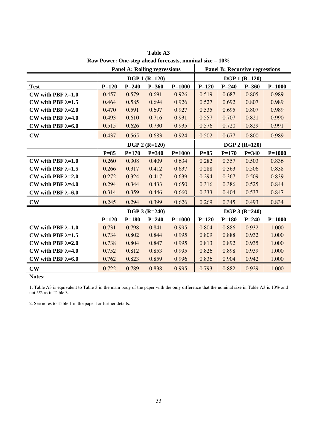|                           | <b>Panel A: Rolling regressions</b> |           |                      |            | <b>Panel B: Recursive regressions</b> |                      |                      |            |  |
|---------------------------|-------------------------------------|-----------|----------------------|------------|---------------------------------------|----------------------|----------------------|------------|--|
|                           | <b>DGP 1 (R=120)</b>                |           |                      |            |                                       | <b>DGP 1 (R=120)</b> |                      |            |  |
| <b>Test</b>               | $P=120$                             | $P = 240$ | $P = 360$            | $P = 1000$ | $P = 120$                             | $P = 240$            | $P = 360$            | $P = 1000$ |  |
| CW with PBF $\lambda=1.0$ | 0.457                               | 0.579     | 0.691                | 0.926      | 0.519                                 | 0.687                | 0.805                | 0.989      |  |
| CW with PBF $\lambda=1.5$ | 0.464                               | 0.585     | 0.694                | 0.926      | 0.527                                 | 0.692                | 0.807                | 0.989      |  |
| CW with PBF $\lambda=2.0$ | 0.470                               | 0.591     | 0.697                | 0.927      | 0.535                                 | 0.695                | 0.807                | 0.989      |  |
| CW with PBF $\lambda=4.0$ | 0.493                               | 0.610     | 0.716                | 0.931      | 0.557                                 | 0.707                | 0.821                | 0.990      |  |
| CW with PBF $\lambda=6.0$ | 0.515                               | 0.626     | 0.730                | 0.935      | 0.576                                 | 0.720                | 0.829                | 0.991      |  |
| $\mathbf{CW}$             | 0.437                               | 0.565     | 0.683                | 0.924      | 0.502                                 | 0.677                | 0.800                | 0.989      |  |
|                           |                                     |           | <b>DGP 2 (R=120)</b> |            |                                       |                      | <b>DGP 2 (R=120)</b> |            |  |
|                           | $P=85$                              | $P = 170$ | $P = 340$            | $P = 1000$ | $P=85$                                | $P = 170$            | $P = 340$            | $P = 1000$ |  |
| CW with PBF $\lambda=1.0$ | 0.260                               | 0.308     | 0.409                | 0.634      | 0.282                                 | 0.357                | 0.503                | 0.836      |  |
| CW with PBF $\lambda=1.5$ | 0.266                               | 0.317     | 0.412                | 0.637      | 0.288                                 | 0.363                | 0.506                | 0.838      |  |
| CW with PBF $\lambda=2.0$ | 0.272                               | 0.324     | 0.417                | 0.639      | 0.294                                 | 0.367                | 0.509                | 0.839      |  |
| CW with PBF $\lambda=4.0$ | 0.294                               | 0.344     | 0.433                | 0.650      | 0.316                                 | 0.386                | 0.525                | 0.844      |  |
| CW with PBF $\lambda=6.0$ | 0.314                               | 0.359     | 0.446                | 0.660      | 0.333                                 | 0.404                | 0.537                | 0.847      |  |
| $\mathbf{CW}$             | 0.245                               | 0.294     | 0.399                | 0.626      | 0.269                                 | 0.345                | 0.493                | 0.834      |  |
|                           |                                     |           | $DGP 3 (R=240)$      |            |                                       |                      | <b>DGP 3 (R=240)</b> |            |  |
|                           | $P=120$                             | $P = 180$ | $P = 240$            | $P = 1000$ | $P = 120$                             | $P = 180$            | $P = 240$            | $P=1000$   |  |
| CW with PBF $\lambda=1.0$ | 0.731                               | 0.798     | 0.841                | 0.995      | 0.804                                 | 0.886                | 0.932                | 1.000      |  |
| CW with PBF $\lambda=1.5$ | 0.734                               | 0.802     | 0.844                | 0.995      | 0.809                                 | 0.888                | 0.932                | 1.000      |  |
| CW with PBF $\lambda=2.0$ | 0.738                               | 0.804     | 0.847                | 0.995      | 0.813                                 | 0.892                | 0.935                | 1.000      |  |
| CW with PBF $\lambda=4.0$ | 0.752                               | 0.812     | 0.853                | 0.995      | 0.826                                 | 0.898                | 0.939                | 1.000      |  |
| CW with PBF $\lambda=6.0$ | 0.762                               | 0.823     | 0.859                | 0.996      | 0.836                                 | 0.904                | 0.942                | 1.000      |  |
| $\mathbf{CW}$             | 0.722                               | 0.789     | 0.838                | 0.995      | 0.793                                 | 0.882                | 0.929                | 1.000      |  |

**Table A3 Raw Power: One-step ahead forecasts, nominal size = 10%** 

1. Table A3 is equivalent to Table 3 in the main body of the paper with the only difference that the nominal size in Table A3 is 10% and not 5% as in Table 3.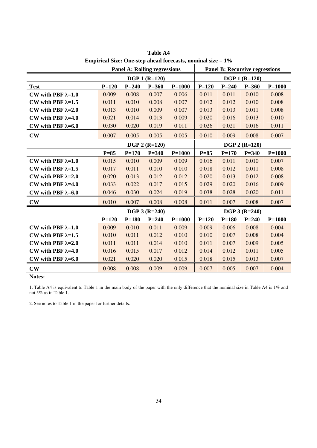| <b>Panel A: Rolling regressions</b> |                      |           |                      |            | <b>Panel B: Recursive regressions</b> |           |                 |            |  |
|-------------------------------------|----------------------|-----------|----------------------|------------|---------------------------------------|-----------|-----------------|------------|--|
|                                     | <b>DGP 1 (R=120)</b> |           |                      |            | <b>DGP 1 (R=120)</b>                  |           |                 |            |  |
| <b>Test</b>                         | $P=120$              | $P = 240$ | $P = 360$            | $P = 1000$ | $P = 120$                             | $P = 240$ | $P = 360$       | $P = 1000$ |  |
| CW with PBF $\lambda=1.0$           | 0.009                | 0.008     | 0.007                | 0.006      | 0.011                                 | 0.011     | 0.010           | 0.008      |  |
| CW with PBF $\lambda=1.5$           | 0.011                | 0.010     | 0.008                | 0.007      | 0.012                                 | 0.012     | 0.010           | 0.008      |  |
| CW with PBF $\lambda=2.0$           | 0.013                | 0.010     | 0.009                | 0.007      | 0.013                                 | 0.013     | 0.011           | 0.008      |  |
| CW with PBF $\lambda=4.0$           | 0.021                | 0.014     | 0.013                | 0.009      | 0.020                                 | 0.016     | 0.013           | 0.010      |  |
| CW with PBF $\lambda=6.0$           | 0.030                | 0.020     | 0.019                | 0.011      | 0.026                                 | 0.021     | 0.016           | 0.011      |  |
| $\mathbf{CW}$                       | 0.007                | 0.005     | 0.005                | 0.005      | 0.010                                 | 0.009     | 0.008           | 0.007      |  |
|                                     |                      |           | <b>DGP 2 (R=120)</b> |            |                                       |           | $DGP 2 (R=120)$ |            |  |
|                                     | $P=85$               | $P = 170$ | $P = 340$            | $P = 1000$ | $P=85$                                | $P = 170$ | $P = 340$       | $P = 1000$ |  |
| CW with PBF $\lambda=1.0$           | 0.015                | 0.010     | 0.009                | 0.009      | 0.016                                 | 0.011     | 0.010           | 0.007      |  |
| CW with PBF $\lambda=1.5$           | 0.017                | 0.011     | 0.010                | 0.010      | 0.018                                 | 0.012     | 0.011           | 0.008      |  |
| CW with PBF $\lambda=2.0$           | 0.020                | 0.013     | 0.012                | 0.012      | 0.020                                 | 0.013     | 0.012           | 0.008      |  |
| CW with PBF $\lambda=4.0$           | 0.033                | 0.022     | 0.017                | 0.015      | 0.029                                 | 0.020     | 0.016           | 0.009      |  |
| CW with PBF $\lambda=6.0$           | 0.046                | 0.030     | 0.024                | 0.019      | 0.038                                 | 0.028     | 0.020           | 0.011      |  |
| $\mathbf{CW}$                       | 0.010                | 0.007     | 0.008                | 0.008      | 0.011                                 | 0.007     | 0.008           | 0.007      |  |
|                                     |                      |           | $DGP 3 (R=240)$      |            | $DGP 3 (R=240)$                       |           |                 |            |  |
|                                     | $P = 120$            | $P = 180$ | $P = 240$            | $P = 1000$ | $P = 120$                             | $P = 180$ | $P = 240$       | $P = 1000$ |  |
| CW with PBF $\lambda=1.0$           | 0.009                | 0.010     | 0.011                | 0.009      | 0.009                                 | 0.006     | 0.008           | 0.004      |  |
| CW with PBF $\lambda=1.5$           | 0.010                | 0.011     | 0.012                | 0.010      | 0.010                                 | 0.007     | 0.008           | 0.004      |  |
| CW with PBF $\lambda=2.0$           | 0.011                | 0.011     | 0.014                | 0.010      | 0.011                                 | 0.007     | 0.009           | 0.005      |  |
| CW with PBF $\lambda=4.0$           | 0.016                | 0.015     | 0.017                | 0.012      | 0.014                                 | 0.012     | 0.011           | 0.005      |  |
| CW with PBF $\lambda=6.0$           | 0.021                | 0.020     | 0.020                | 0.015      | 0.018                                 | 0.015     | 0.013           | 0.007      |  |
| $\mathbf{CW}$                       | 0.008                | 0.008     | 0.009                | 0.009      | 0.007                                 | 0.005     | 0.007           | 0.004      |  |

**Table A4 Empirical Size: One-step ahead forecasts, nominal size = 1%** 

1. Table A4 is equivalent to Table 1 in the main body of the paper with the only difference that the nominal size in Table A4 is 1% and not 5% as in Table 1.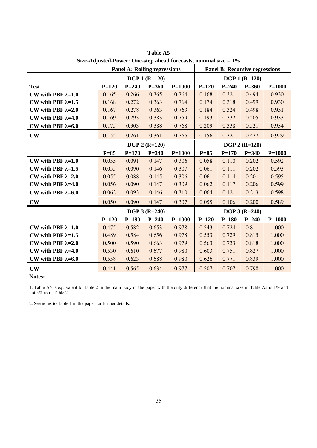| $\frac{1}{2}$ and $\frac{1}{2}$ and $\frac{1}{2}$ and $\frac{1}{2}$ are step and the constant since $\frac{1}{2}$<br><b>Panel A: Rolling regressions</b> |                      |           |                      | <b>Panel B: Recursive regressions</b> |                      |           |               |            |
|----------------------------------------------------------------------------------------------------------------------------------------------------------|----------------------|-----------|----------------------|---------------------------------------|----------------------|-----------|---------------|------------|
|                                                                                                                                                          | <b>DGP 1 (R=120)</b> |           |                      |                                       | <b>DGP 1 (R=120)</b> |           |               |            |
| <b>Test</b>                                                                                                                                              | $P = 120$            | $P = 240$ | $P = 360$            | $P = 1000$                            | $P = 120$            | $P = 240$ | $P = 360$     | $P = 1000$ |
| CW with PBF $\lambda=1.0$                                                                                                                                | 0.165                | 0.266     | 0.365                | 0.764                                 | 0.168                | 0.321     | 0.494         | 0.930      |
| CW with PBF $\lambda=1.5$                                                                                                                                | 0.168                | 0.272     | 0.363                | 0.764                                 | 0.174                | 0.318     | 0.499         | 0.930      |
| CW with PBF $\lambda=2.0$                                                                                                                                | 0.167                | 0.278     | 0.363                | 0.763                                 | 0.184                | 0.324     | 0.498         | 0.931      |
| CW with PBF $\lambda=4.0$                                                                                                                                | 0.169                | 0.293     | 0.383                | 0.759                                 | 0.193                | 0.332     | 0.505         | 0.933      |
| CW with PBF $\lambda=6.0$                                                                                                                                | 0.175                | 0.303     | 0.388                | 0.768                                 | 0.209                | 0.338     | 0.521         | 0.934      |
| $\mathbf{CW}$                                                                                                                                            | 0.155                | 0.261     | 0.361                | 0.766                                 | 0.156                | 0.321     | 0.477         | 0.929      |
|                                                                                                                                                          |                      |           | <b>DGP 2 (R=120)</b> |                                       |                      |           | DGP 2 (R=120) |            |
|                                                                                                                                                          | $P=85$               | $P = 170$ | $P = 340$            | $P = 1000$                            | $P=85$               | $P = 170$ | $P = 340$     | $P = 1000$ |
| CW with PBF $\lambda=1.0$                                                                                                                                | 0.055                | 0.091     | 0.147                | 0.306                                 | 0.058                | 0.110     | 0.202         | 0.592      |
| CW with PBF $\lambda=1.5$                                                                                                                                | 0.055                | 0.090     | 0.146                | 0.307                                 | 0.061                | 0.111     | 0.202         | 0.593      |
| CW with PBF $\lambda=2.0$                                                                                                                                | 0.055                | 0.088     | 0.145                | 0.306                                 | 0.061                | 0.114     | 0.201         | 0.595      |
| CW with PBF $\lambda=4.0$                                                                                                                                | 0.056                | 0.090     | 0.147                | 0.309                                 | 0.062                | 0.117     | 0.206         | 0.599      |
| CW with PBF $\lambda=6.0$                                                                                                                                | 0.062                | 0.093     | 0.146                | 0.310                                 | 0.064                | 0.121     | 0.213         | 0.598      |
| $\mathbf{CW}$                                                                                                                                            | 0.050                | 0.090     | 0.147                | 0.307                                 | 0.055                | 0.106     | 0.200         | 0.589      |
|                                                                                                                                                          |                      |           | <b>DGP 3 (R=240)</b> |                                       | $DGP 3 (R=240)$      |           |               |            |
|                                                                                                                                                          | $P=120$              | $P = 180$ | $P = 240$            | $P = 1000$                            | $P = 120$            | $P = 180$ | $P = 240$     | $P = 1000$ |
| CW with PBF $\lambda=1.0$                                                                                                                                | 0.475                | 0.582     | 0.653                | 0.978                                 | 0.543                | 0.724     | 0.811         | 1.000      |
| CW with PBF $\lambda=1.5$                                                                                                                                | 0.489                | 0.584     | 0.656                | 0.978                                 | 0.553                | 0.729     | 0.815         | 1.000      |
| CW with PBF $\lambda=2.0$                                                                                                                                | 0.500                | 0.590     | 0.663                | 0.979                                 | 0.563                | 0.733     | 0.818         | 1.000      |
| CW with PBF $\lambda=4.0$                                                                                                                                | 0.530                | 0.610     | 0.677                | 0.980                                 | 0.603                | 0.751     | 0.827         | 1.000      |
| CW with PBF $\lambda=6.0$                                                                                                                                | 0.558                | 0.623     | 0.688                | 0.980                                 | 0.626                | 0.771     | 0.839         | 1.000      |
| $\mathbf{CW}$                                                                                                                                            | 0.441                | 0.565     | 0.634                | 0.977                                 | 0.507                | 0.707     | 0.798         | 1.000      |

**Table A5 Size-Adjusted-Power: One-step ahead forecasts, nominal size = 1%** 

1. Table A5 is equivalent to Table 2 in the main body of the paper with the only difference that the nominal size in Table A5 is 1% and not 5% as in Table 2.